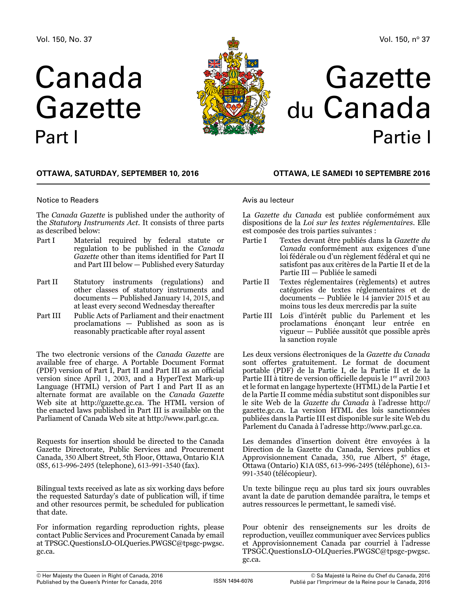# Canada Gazette Part I



## Gazette du Canada Partie I

#### **OTTAWA, Saturday, September 10, 2016**

#### Notice to Readers

The *Canada Gazette* is published under the authority of the *Statutory Instruments Act*. It consists of three parts as described below:

- Part I Material required by federal statute or regulation to be published in the *Canada Gazette* other than items identified for Part II and Part III below — Published every Saturday
- Part II Statutory instruments (regulations) and other classes of statutory instruments and documents — Published January 14, 2015, and at least every second Wednesday thereafter
- Part III Public Acts of Parliament and their enactment proclamations — Published as soon as is reasonably practicable after royal assent

The two electronic versions of the *Canada Gazette* are available free of charge. A Portable Document Format (PDF) version of Part I, Part II and Part III as an official version since April 1, 2003, and a HyperText Mark-up Language (HTML) version of Part I and Part II as an alternate format are available on the *Canada Gazette* Web site at http://[gazette.gc.ca](http://gazette.gc.ca). The HTML version of the enacted laws published in Part III is available on the Parliament of Canada Web site at http://[www.parl.gc.ca.](http://www.parl.gc.ca)

Requests for insertion should be directed to the Canada Gazette Directorate, Public Services and Procurement Canada, 350 Albert Street, 5th Floor, Ottawa, Ontario K1A 0S5, 613-996-2495 (telephone), 613-991-3540 (fax).

Bilingual texts received as late as six working days before the requested Saturday's date of publication will, if time and other resources permit, be scheduled for publication that date.

For information regarding reproduction rights, please contact Public Services and Procurement Canada by email at [TPSGC.QuestionsLO-OLQueries.PWGSC@tpsgc-pwgsc.](mailto:TPSGC.QuestionsLO-OLQueries.PWGSC%40tpsgc-pwgsc.gc.ca?subject=) [gc.ca](mailto:TPSGC.QuestionsLO-OLQueries.PWGSC%40tpsgc-pwgsc.gc.ca?subject=).

#### **OTTAWA, LE samedi 10 septembre 2016**

#### Avis au lecteur

La *Gazette du Canada* est publiée conformément aux dispositions de la *Loi sur les textes réglementaires*. Elle est composée des trois parties suivantes :

- Partie I Textes devant être publiés dans la *Gazette du Canada* conformément aux exigences d'une loi fédérale ou d'un règlement fédéral et qui ne satisfont pas aux critères de la Partie II et de la Partie III — Publiée le samedi
- Partie II Textes réglementaires (règlements) et autres catégories de textes réglementaires et de documents — Publiée le 14 janvier 2015 et au moins tous les deux mercredis par la suite
- Partie III Lois d'intérêt public du Parlement et les proclamations énonçant leur entrée en vigueur — Publiée aussitôt que possible après la sanction royale

Les deux versions électroniques de la *Gazette du Canada* sont offertes gratuitement. Le format de document portable (PDF) de la Partie I, de la Partie II et de la Partie III à titre de version officielle depuis le 1<sup>er</sup> avril 2003 et le format en langage hypertexte (HTML) de la Partie I et de la Partie II comme média substitut sont disponibles sur le site Web de la *Gazette du Canada* à l'adresse [http:](http://gazette.gc.ca)// [gazette.gc.ca](http://gazette.gc.ca). La version HTML des lois sanctionnées publiées dans la Partie III est disponible sur le site Web du Parlement du Canada à l'adresse http://[www.parl.gc.ca](http://www.parl.gc.ca).

Les demandes d'insertion doivent être envoyées à la Direction de la Gazette du Canada, Services publics et Approvisionnement Canada, 350, rue Albert,  $5^e$  étage, Ottawa (Ontario) K1A 0S5, 613-996-2495 (téléphone), 613- 991-3540 (télécopieur).

Un texte bilingue reçu au plus tard six jours ouvrables avant la date de parution demandée paraîtra, le temps et autres ressources le permettant, le samedi visé.

Pour obtenir des renseignements sur les droits de reproduction, veuillez communiquer avec Services publics et Approvisionnement Canada par courriel à l'adresse [TPSGC.QuestionsLO-OLQueries.PWGSC@tpsgc-pwgsc.](mailto:TPSGC.QuestionsLO-OLQueries.PWGSC%40tpsgc-pwgsc.gc.ca?subject=) [gc.ca](mailto:TPSGC.QuestionsLO-OLQueries.PWGSC%40tpsgc-pwgsc.gc.ca?subject=).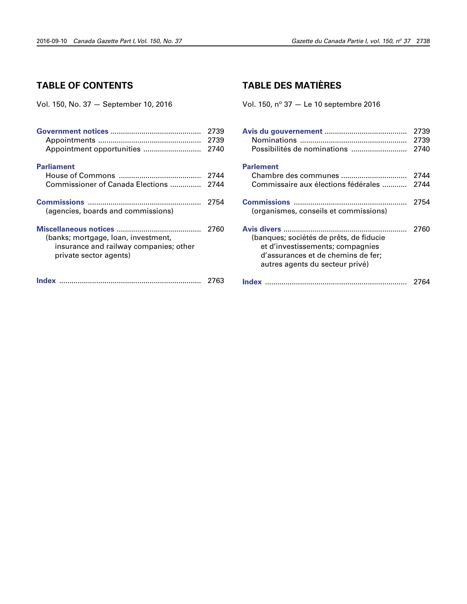## **TABLE OF CONTENTS**

Vol. 150, No. 37 — September 10, 2016

|                                                                                                         | 2739<br>2739<br>2740 |
|---------------------------------------------------------------------------------------------------------|----------------------|
| <b>Parliament</b>                                                                                       |                      |
|                                                                                                         | 2744                 |
| Commissioner of Canada Elections                                                                        | 2744                 |
| (agencies, boards and commissions)                                                                      | 2754                 |
| (banks; mortgage, loan, investment,<br>insurance and railway companies; other<br>private sector agents) | 2760                 |
|                                                                                                         | 2763                 |

## **TABLE DES MATIÈRES**

Vol. 150,  $n^{\circ}$  37  $-$  Le 10 septembre 2016

| Possibilités de nominations                                                                                                                          | 2739<br>2739<br>2740 |
|------------------------------------------------------------------------------------------------------------------------------------------------------|----------------------|
| <b>Parlement</b><br>Chambre des communes<br>Commissaire aux élections fédérales                                                                      | 2744<br>2744         |
| (organismes, conseils et commissions)                                                                                                                | 2754                 |
| (banques; sociétés de prêts, de fiducie<br>et d'investissements; compagnies<br>d'assurances et de chemins de fer;<br>autres agents du secteur privé) | 2760                 |
|                                                                                                                                                      | 2764                 |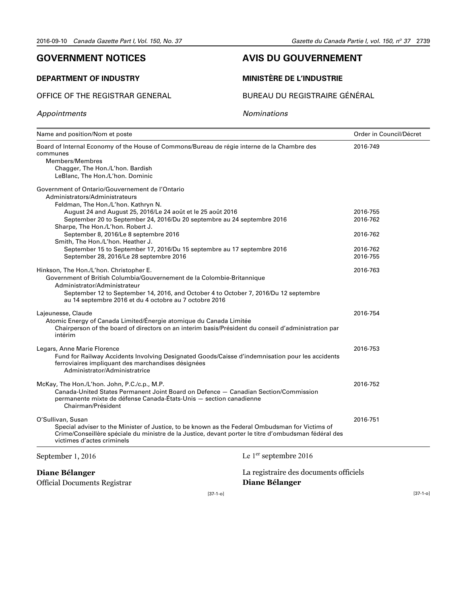## <span id="page-2-0"></span>**GOVERNMENT NOTICES**

#### **DEPARTMENT OF INDUSTRY**

*Appointments*

#### OFFICE OF THE REGISTRAR GENERAL

## **AVIS DU GOUVERNEMENT**

#### **MINISTÈRE DE L'INDUSTRIE**

BUREAU DU REGISTRAIRE GÉNÉRAL

*Nominations*

| Name and position/Nom et poste                                                                                                                                                                                                  |                                                                                                                                                                                                         | Order in Council/Décret |
|---------------------------------------------------------------------------------------------------------------------------------------------------------------------------------------------------------------------------------|---------------------------------------------------------------------------------------------------------------------------------------------------------------------------------------------------------|-------------------------|
| Board of Internal Economy of the House of Commons/Bureau de régie interne de la Chambre des<br>communes<br>Members/Membres<br>Chagger, The Hon./L'hon. Bardish<br>LeBlanc, The Hon./L'hon. Dominic                              |                                                                                                                                                                                                         | 2016-749                |
| Government of Ontario/Gouvernement de l'Ontario<br>Administrators/Administrateurs<br>Feldman, The Hon./L'hon. Kathryn N.                                                                                                        |                                                                                                                                                                                                         |                         |
| August 24 and August 25, 2016/Le 24 août et le 25 août 2016                                                                                                                                                                     |                                                                                                                                                                                                         | 2016-755                |
| September 20 to September 24, 2016/Du 20 septembre au 24 septembre 2016                                                                                                                                                         |                                                                                                                                                                                                         | 2016-762                |
| Sharpe, The Hon./L'hon. Robert J.<br>September 8, 2016/Le 8 septembre 2016<br>Smith, The Hon./L'hon. Heather J.                                                                                                                 |                                                                                                                                                                                                         | 2016-762                |
| September 15 to September 17, 2016/Du 15 septembre au 17 septembre 2016                                                                                                                                                         |                                                                                                                                                                                                         | 2016-762                |
| September 28, 2016/Le 28 septembre 2016                                                                                                                                                                                         |                                                                                                                                                                                                         | 2016-755                |
| Hinkson, The Hon./L'hon. Christopher E.<br>Government of British Columbia/Gouvernement de la Colombie-Britannique                                                                                                               |                                                                                                                                                                                                         | 2016-763                |
| Administrator/Administrateur<br>au 14 septembre 2016 et du 4 octobre au 7 octobre 2016                                                                                                                                          | September 12 to September 14, 2016, and October 4 to October 7, 2016/Du 12 septembre                                                                                                                    |                         |
| Lajeunesse, Claude<br>Atomic Energy of Canada Limited/Énergie atomique du Canada Limitée<br>intérim                                                                                                                             | Chairperson of the board of directors on an interim basis/Président du conseil d'administration par                                                                                                     | 2016-754                |
| Legars, Anne Marie Florence<br>ferroviaires impliquant des marchandises désignées<br>Administrator/Administratrice                                                                                                              | Fund for Railway Accidents Involving Designated Goods/Caisse d'indemnisation pour les accidents                                                                                                         | 2016-753                |
| McKay, The Hon./L'hon. John, P.C./c.p., M.P.<br>Canada-United States Permanent Joint Board on Defence - Canadian Section/Commission<br>permanente mixte de défense Canada-États-Unis — section canadienne<br>Chairman/Président |                                                                                                                                                                                                         | 2016-752                |
| O'Sullivan, Susan                                                                                                                                                                                                               |                                                                                                                                                                                                         | 2016-751                |
| victimes d'actes criminels                                                                                                                                                                                                      | Special adviser to the Minister of Justice, to be known as the Federal Ombudsman for Victims of<br>Crime/Conseillère spéciale du ministre de la Justice, devant porter le titre d'ombudsman fédéral des |                         |
| September 1, 2016                                                                                                                                                                                                               | Le 1 <sup>er</sup> septembre 2016                                                                                                                                                                       |                         |
| Diane Bélanger                                                                                                                                                                                                                  | La registraire des documents officiels                                                                                                                                                                  |                         |
| <b>Official Documents Registrar</b>                                                                                                                                                                                             | Diane Bélanger                                                                                                                                                                                          |                         |
|                                                                                                                                                                                                                                 | $[37-1-0]$                                                                                                                                                                                              | $[37-1-0]$              |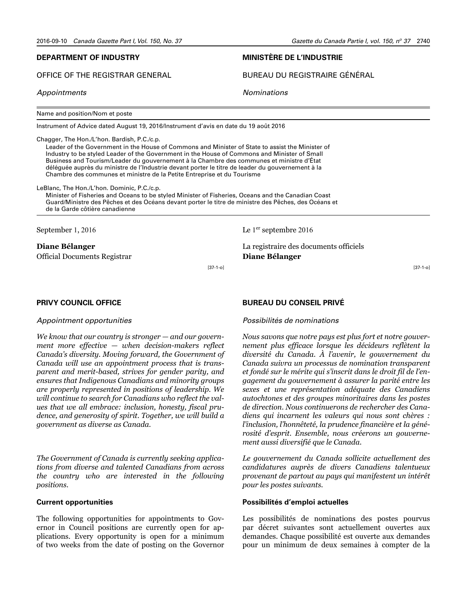[37-1-o]

#### **DEPARTMENT OF INDUSTRY**

OFFICE OF THE REGISTRAR GENERAL

*Appointments*

Name and position/Nom et poste

Instrument of Advice dated August 19, 2016/Instrument d'avis en date du 19 août 2016

Chagger, The Hon./L'hon. Bardish, P.C./c.p.

Leader of the Government in the House of Commons and Minister of State to assist the Minister of Industry to be styled Leader of the Government in the House of Commons and Minister of Small Business and Tourism/Leader du gouvernement à la Chambre des communes et ministre d'État déléguée auprès du ministre de l'Industrie devant porter le titre de leader du gouvernement à la Chambre des communes et ministre de la Petite Entreprise et du Tourisme

LeBlanc, The Hon./L'hon. Dominic, P.C./c.p.

Minister of Fisheries and Oceans to be styled Minister of Fisheries, Oceans and the Canadian Coast Guard/Ministre des Pêches et des Océans devant porter le titre de ministre des Pêches, des Océans et de la Garde côtière canadienne

September 1, 2016

**Diane Bélanger** Official Documents Registrar Le 1er septembre 2016

**MINISTÈRE DE L'INDUSTRIE**

*Nominations*

BUREAU DU REGISTRAIRE GÉNÉRAL

La registraire des documents officiels **Diane Bélanger**

[37-1-o]

#### **PRIVY COUNCIL OFFICE**

#### *Appointment opportunities*

*We know that our country is stronger — and our government more effective — when decision-makers reflect Canada's diversity. Moving forward, the Government of Canada will use an appointment process that is transparent and merit-based, strives for gender parity, and ensures that Indigenous Canadians and minority groups are properly represented in positions of leadership. We will continue to search for Canadians who reflect the values that we all embrace: inclusion, honesty, fiscal prudence, and generosity of spirit. Together, we will build a government as diverse as Canada.*

*The Government of Canada is currently seeking applications from diverse and talented Canadians from across the country who are interested in the following positions*.

#### **Current opportunities**

The following opportunities for appointments to Governor in Council positions are currently open for applications. Every opportunity is open for a minimum of two weeks from the date of posting on the Governor

#### **BUREAU DU CONSEIL PRIVÉ**

#### *Possibilités de nominations*

*Nous savons que notre pays est plus fort et notre gouvernement plus efficace lorsque les décideurs reflètent la diversité du Canada. À l'avenir, le gouvernement du Canada suivra un processus de nomination transparent et fondé sur le mérite qui s'inscrit dans le droit fil de l'engagement du gouvernement à assurer la parité entre les sexes et une représentation adéquate des Canadiens autochtones et des groupes minoritaires dans les postes de direction. Nous continuerons de rechercher des Canadiens qui incarnent les valeurs qui nous sont chères : l'inclusion, l'honnêteté, la prudence financière et la générosité d'esprit. Ensemble, nous créerons un gouvernement aussi diversifié que le Canada.*

*Le gouvernement du Canada sollicite actuellement des candidatures auprès de divers Canadiens talentueux provenant de partout au pays qui manifestent un intérêt pour les postes suivants.* 

#### **Possibilités d'emploi actuelles**

Les possibilités de nominations des postes pourvus par décret suivantes sont actuellement ouvertes aux demandes. Chaque possibilité est ouverte aux demandes pour un minimum de deux semaines à compter de la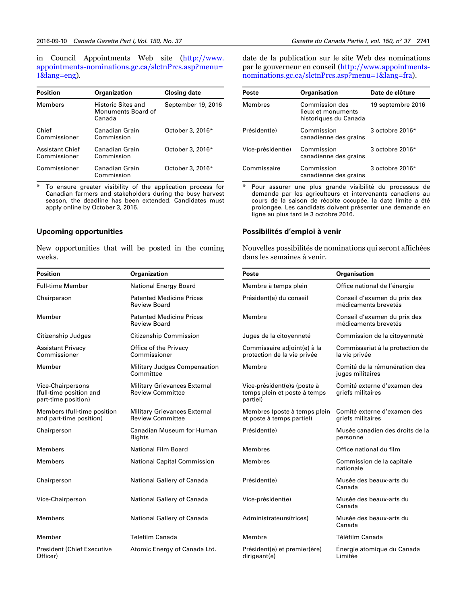in Council Appointments Web site ([http://www.](http://www.appointments-nominations.gc.ca/slctnPrcs.asp?menu=1&lang=eng) [appointments-nominations.gc.ca/slctnPrcs.asp?menu=](http://www.appointments-nominations.gc.ca/slctnPrcs.asp?menu=1&lang=eng) 1[&lang=eng\)](http://www.appointments-nominations.gc.ca/slctnPrcs.asp?menu=1&lang=eng).

| <b>Position</b>                        | <b>Organization</b>                                | <b>Closing date</b> |
|----------------------------------------|----------------------------------------------------|---------------------|
| Members                                | Historic Sites and<br>Monuments Board of<br>Canada | September 19, 2016  |
| Chief<br>Commissioner                  | Canadian Grain<br>Commission                       | October 3, 2016*    |
| <b>Assistant Chief</b><br>Commissioner | Canadian Grain<br>Commission                       | October 3, 2016*    |
| Commissioner                           | Canadian Grain<br>Commission                       | October 3, 2016*    |

To ensure greater visibility of the application process for Canadian farmers and stakeholders during the busy harvest season, the deadline has been extended. Candidates must apply online by October 3, 2016.

#### **Upcoming opportunities**

New opportunities that will be posted in the coming weeks.

| <b>Position</b>                                                     | Organization                                                   |
|---------------------------------------------------------------------|----------------------------------------------------------------|
| Full-time Member                                                    | National Energy Board                                          |
| Chairperson                                                         | <b>Patented Medicine Prices</b><br>Review Board                |
| Member                                                              | <b>Patented Medicine Prices</b><br><b>Review Board</b>         |
| Citizenship Judges                                                  | Citizenship Commission                                         |
| <b>Assistant Privacy</b><br>Commissioner                            | Office of the Privacy<br>Commissioner                          |
| Member                                                              | Military Judges Compensation<br>Committee                      |
| Vice-Chairpersons<br>(full-time position and<br>part-time position) | <b>Military Grievances External</b><br><b>Review Committee</b> |
| Members (full-time position<br>and part-time position)              | <b>Military Grievances External</b><br><b>Review Committee</b> |
| Chairperson                                                         | Canadian Museum for Human<br>Rights                            |
| <b>Members</b>                                                      | National Film Board                                            |
| <b>Members</b>                                                      | <b>National Capital Commission</b>                             |
| Chairperson                                                         | National Gallery of Canada                                     |
| Vice-Chairperson                                                    | National Gallery of Canada                                     |
| <b>Members</b>                                                      | National Gallery of Canada                                     |
| Member                                                              | <b>Telefilm Canada</b>                                         |
| <b>President (Chief Executive</b><br>Officer)                       | Atomic Energy of Canada Ltd.                                   |

date de la publication sur le site Web des nominations par le gouverneur en conseil ([http://www.appointments](http://www.appointments-nominations.gc.ca/slctnPrcs.asp?menu=1&lang=fra)[nominations.gc.ca/slctnPrcs.asp?menu=](http://www.appointments-nominations.gc.ca/slctnPrcs.asp?menu=1&lang=fra)1&lang=fra).

| <b>Poste</b>      | <b>Organisation</b>                                           | Date de clôture   |
|-------------------|---------------------------------------------------------------|-------------------|
| Membres           | Commission des<br>lieux et monuments<br>historiques du Canada | 19 septembre 2016 |
| Président(e)      | Commission<br>canadienne des grains                           | 3 octobre 2016*   |
| Vice-président(e) | Commission<br>canadienne des grains                           | 3 octobre 2016*   |
| Commissaire       | Commission<br>canadienne des grains                           | 3 octobre 2016*   |

\* Pour assurer une plus grande visibilité du processus de demande par les agriculteurs et intervenants canadiens au cours de la saison de récolte occupée, la date limite a été prolongée. Les candidats doivent présenter une demande en ligne au plus tard le 3 octobre 2016.

#### **Possibilités d'emploi à venir**

Nouvelles possibilités de nominations qui seront affichées dans les semaines à venir.

| Poste                                                                   | <b>Organisation</b>                                  |
|-------------------------------------------------------------------------|------------------------------------------------------|
| Membre à temps plein                                                    | Office national de l'énergie                         |
| Président(e) du conseil                                                 | Conseil d'examen du prix des<br>médicaments brevetés |
| Membre                                                                  | Conseil d'examen du prix des<br>médicaments brevetés |
| Juges de la citoyenneté                                                 | Commission de la citoyenneté                         |
| Commissaire adjoint(e) à la<br>protection de la vie privée              | Commissariat à la protection de<br>la vie privée     |
| Membre                                                                  | Comité de la rémunération des<br>juges militaires    |
| Vice-président(e)s (poste à<br>temps plein et poste à temps<br>partiel) | Comité externe d'examen des<br>griefs militaires     |
| Membres (poste à temps plein<br>et poste à temps partiel)               | Comité externe d'examen des<br>griefs militaires     |
| Président(e)                                                            | Musée canadien des droits de la<br>personne          |
| Membres                                                                 | Office national du film                              |
| Membres                                                                 | Commission de la capitale<br>nationale               |
| Président(e)                                                            | Musée des beaux-arts du<br>Canada                    |
| Vice-président(e)                                                       | Musée des beaux-arts du<br>Canada                    |
| Administrateurs(trices)                                                 | Musée des beaux-arts du<br>Canada                    |
| Membre                                                                  | Téléfilm Canada                                      |
| Président(e) et premier(ère)<br>dirigeant(e)                            | Energie atomique du Canada<br>Limitée                |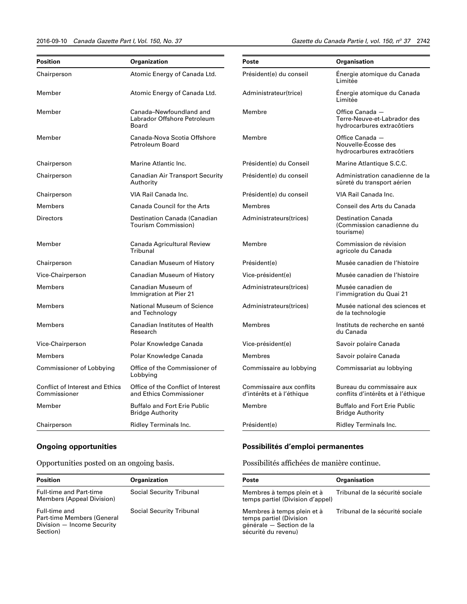#### 2016-09-10 *Canada Gazette Part I, Vol. 150, No. 37 Gazette du Canada Partie I, vol. 150, n<sup>o</sup>*

Gazette du Canada Partie I, vol. 150, nº 37 2742

| Position                                               | Organization                                                    | Poste                                                 | Organisation                                                                 |
|--------------------------------------------------------|-----------------------------------------------------------------|-------------------------------------------------------|------------------------------------------------------------------------------|
| Chairperson                                            | Atomic Energy of Canada Ltd.                                    | Président(e) du conseil                               | Énergie atomique du Canada<br>Limitée                                        |
| Member                                                 | Atomic Energy of Canada Ltd.                                    | Administrateur(trice)                                 | Énergie atomique du Canada<br>Limitée                                        |
| Member                                                 | Canada–Newfoundland and<br>Labrador Offshore Petroleum<br>Board | Membre                                                | Office Canada -<br>Terre-Neuve-et-Labrador des<br>hydrocarbures extracôtiers |
| Member                                                 | Canada-Nova Scotia Offshore<br><b>Petroleum Board</b>           | Membre                                                | Office Canada -<br>Nouvelle-Écosse des<br>hydrocarbures extracôtiers         |
| Chairperson                                            | Marine Atlantic Inc.                                            | Président(e) du Conseil                               | Marine Atlantique S.C.C.                                                     |
| Chairperson                                            | <b>Canadian Air Transport Security</b><br>Authority             | Président(e) du conseil                               | Administration canadienne de la<br>sûreté du transport aérien                |
| Chairperson                                            | VIA Rail Canada Inc.                                            | Président(e) du conseil                               | VIA Rail Canada Inc.                                                         |
| Members                                                | <b>Canada Council for the Arts</b>                              | Membres                                               | Conseil des Arts du Canada                                                   |
| Directors                                              | Destination Canada (Canadian<br>Tourism Commission)             | Administrateurs(trices)                               | <b>Destination Canada</b><br>(Commission canadienne du<br>tourisme)          |
| Member                                                 | Canada Agricultural Review<br>Tribunal                          | Membre                                                | Commission de révision<br>agricole du Canada                                 |
| Chairperson                                            | Canadian Museum of History                                      | Président(e)                                          | Musée canadien de l'histoire                                                 |
| Vice-Chairperson                                       | Canadian Museum of History                                      | Vice-président(e)                                     | Musée canadien de l'histoire                                                 |
| <b>Members</b>                                         | Canadian Museum of<br>Immigration at Pier 21                    | Administrateurs(trices)                               | Musée canadien de<br>l'immigration du Quai 21                                |
| Members                                                | National Museum of Science<br>and Technology                    | Administrateurs(trices)                               | Musée national des sciences et<br>de la technologie                          |
| Members                                                | <b>Canadian Institutes of Health</b><br>Research                | Membres                                               | Instituts de recherche en santé<br>du Canada                                 |
| Vice-Chairperson                                       | Polar Knowledge Canada                                          | Vice-président(e)                                     | Savoir polaire Canada                                                        |
| Members                                                | Polar Knowledge Canada                                          | Membres                                               | Savoir polaire Canada                                                        |
| Commissioner of Lobbying                               | Office of the Commissioner of<br>Lobbying                       | Commissaire au lobbying                               | Commissariat au lobbying                                                     |
| <b>Conflict of Interest and Ethics</b><br>Commissioner | Office of the Conflict of Interest<br>and Ethics Commissioner   | Commissaire aux conflits<br>d'intérêts et à l'éthique | Bureau du commissaire aux<br>conflits d'intérêts et à l'éthique              |
| Member                                                 | <b>Buffalo and Fort Erie Public</b><br>Bridge Authority         | Membre                                                | <b>Buffalo and Fort Erie Public</b><br><b>Bridge Authority</b>               |
| Chairperson                                            | Ridley Terminals Inc.                                           | Président(e)                                          | Ridley Terminals Inc.                                                        |

## **Ongoing opportunities**

Opportunities posted on an ongoing basis.

| <b>Position</b>                                                                       | <b>Organization</b>             |
|---------------------------------------------------------------------------------------|---------------------------------|
| <b>Full-time and Part-time</b><br>Members (Appeal Division)                           | <b>Social Security Tribunal</b> |
| Full-time and<br>Part-time Members (General<br>Division - Income Security<br>Section) | <b>Social Security Tribunal</b> |

## **Possibilités d'emploi permanentes**

Possibilités affichées de manière continue.

| <b>Poste</b>                                                                                             | <b>Organisation</b>             |
|----------------------------------------------------------------------------------------------------------|---------------------------------|
| Membres à temps plein et à<br>temps partiel (Division d'appel)                                           | Tribunal de la sécurité sociale |
| Membres à temps plein et à<br>temps partiel (Division<br>générale - Section de la<br>sécurité du revenu) | Tribunal de la sécurité sociale |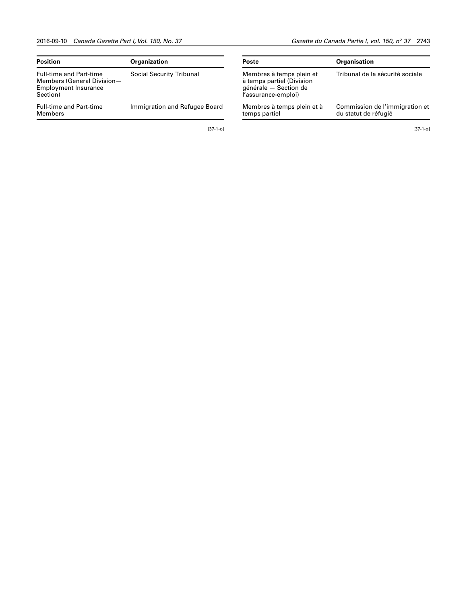| <b>Position</b>                                                                                         | <b>Organization</b>             |
|---------------------------------------------------------------------------------------------------------|---------------------------------|
| <b>Full-time and Part-time</b><br>Members (General Division-<br><b>Employment Insurance</b><br>Section) | <b>Social Security Tribunal</b> |
| <b>Full-time and Part-time</b><br>Members                                                               | Immigration and Refugee Board   |

[37-1-o]

Gazette du Canada Partie I, vol. 150, nº 37 2743

| <b>Poste</b>                                                                                          | <b>Organisation</b>                                    |
|-------------------------------------------------------------------------------------------------------|--------------------------------------------------------|
| Membres à temps plein et<br>à temps partiel (Division<br>générale - Section de<br>l'assurance-emploi) | Tribunal de la sécurité sociale                        |
| Membres à temps plein et à<br>temps partiel                                                           | Commission de l'immigration et<br>du statut de réfugié |

[37-1-o]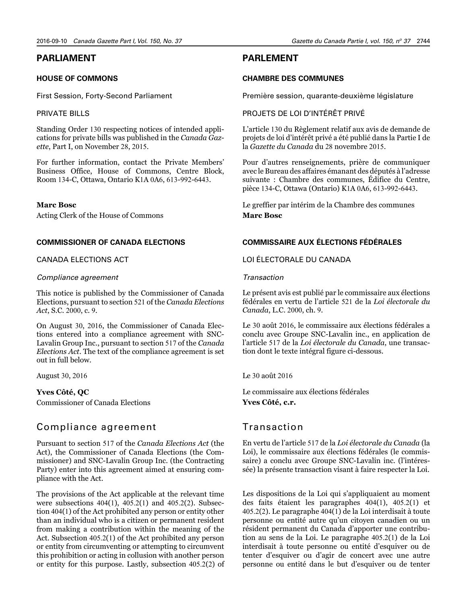## <span id="page-7-0"></span>**PARLIAMENT**

#### **HOUSE OF COMMONS**

First Session, Forty-Second Parliament

#### PRIVATE BILLS

Standing Order 130 respecting notices of intended applications for private bills was published in the *Canada Gazette*, Part I, on November 28, 2015.

For further information, contact the Private Members' Business Office, House of Commons, Centre Block, Room 134-C, Ottawa, Ontario K1A 0A6, 613-992-6443.

#### **Marc Bosc**

Acting Clerk of the House of Commons

#### **COMMISSIONER OF CANADA ELECTIONS**

#### CANADA ELECTIONS ACT

#### *Compliance agreement*

This notice is published by the Commissioner of Canada Elections, pursuant to section 521 of the *Canada Elections Act*, S.C. 2000, c. 9.

On August 30, 2016, the Commissioner of Canada Elections entered into a compliance agreement with SNC-Lavalin Group Inc., pursuant to section 517 of the *Canada Elections Act*. The text of the compliance agreement is set out in full below.

August 30, 2016

**Yves Côté, QC** Commissioner of Canada Elections

## Compliance agreement

Pursuant to section 517 of the *Canada Elections Act* (the Act), the Commissioner of Canada Elections (the Commissioner) and SNC-Lavalin Group Inc. (the Contracting Party) enter into this agreement aimed at ensuring compliance with the Act.

The provisions of the Act applicable at the relevant time were subsections 404(1), 405.2(1) and 405.2(2). Subsection 404(1) of the Act prohibited any person or entity other than an individual who is a citizen or permanent resident from making a contribution within the meaning of the Act. Subsection 405.2(1) of the Act prohibited any person or entity from circumventing or attempting to circumvent this prohibition or acting in collusion with another person or entity for this purpose. Lastly, subsection 405.2(2) of

## **PARLEMENT**

#### **CHAMBRE DES COMMUNES**

Première session, quarante-deuxième législature

#### PROJETS DE LOI D'INTÉRÊT PRIVÉ

L'article 130 du Règlement relatif aux avis de demande de projets de loi d'intérêt privé a été publié dans la Partie I de la *Gazette du Canada* du 28 novembre 2015.

Pour d'autres renseignements, prière de communiquer avec le Bureau des affaires émanant des députés à l'adresse suivante : Chambre des communes, Édifice du Centre, pièce 134-C, Ottawa (Ontario) K1A 0A6, 613-992-6443.

Le greffier par intérim de la Chambre des communes **Marc Bosc**

## **COMMISSAIRE AUX ÉLECTIONS FÉDÉRALES**

#### LOI ÉLECTORALE DU CANADA

#### *Transaction*

Le présent avis est publié par le commissaire aux élections fédérales en vertu de l'article 521 de la *Loi électorale du Canada*, L.C. 2000, ch. 9.

Le 30 août 2016, le commissaire aux élections fédérales a conclu avec Groupe SNC-Lavalin inc., en application de l'article 517 de la *Loi électorale du Canada*, une transaction dont le texte intégral figure ci-dessous.

Le 30 août 2016

Le commissaire aux élections fédérales **Yves Côté, c.r.**

## Transaction

En vertu de l'article 517 de la *Loi électorale du Canada* (la Loi), le commissaire aux élections fédérales (le commissaire) a conclu avec Groupe SNC-Lavalin inc. (l'intéressée) la présente transaction visant à faire respecter la Loi.

Les dispositions de la Loi qui s'appliquaient au moment des faits étaient les paragraphes 404(1), 405.2(1) et 405.2(2). Le paragraphe 404(1) de la Loi interdisait à toute personne ou entité autre qu'un citoyen canadien ou un résident permanent du Canada d'apporter une contribution au sens de la Loi. Le paragraphe 405.2(1) de la Loi interdisait à toute personne ou entité d'esquiver ou de tenter d'esquiver ou d'agir de concert avec une autre personne ou entité dans le but d'esquiver ou de tenter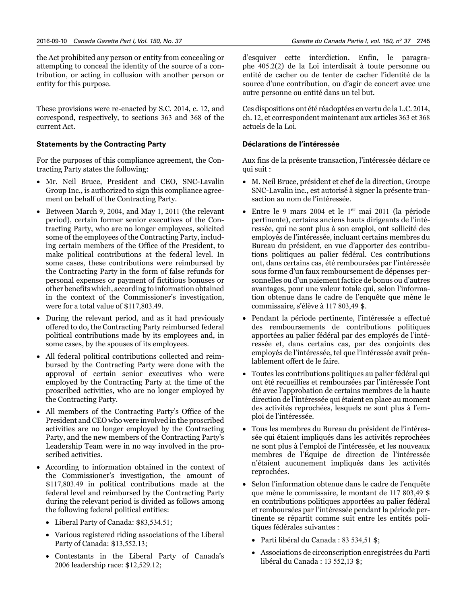the Act prohibited any person or entity from concealing or attempting to conceal the identity of the source of a contribution, or acting in collusion with another person or entity for this purpose.

These provisions were re-enacted by S.C. 2014, c. 12, and correspond, respectively, to sections 363 and 368 of the current Act.

#### **Statements by the Contracting Party**

For the purposes of this compliance agreement, the Contracting Party states the following:

- Mr. Neil Bruce, President and CEO, SNC-Lavalin Group Inc., is authorized to sign this compliance agreement on behalf of the Contracting Party.
- Between March 9, 2004, and May 1, 2011 (the relevant period), certain former senior executives of the Contracting Party, who are no longer employees, solicited some of the employees of the Contracting Party, including certain members of the Office of the President, to make political contributions at the federal level. In some cases, these contributions were reimbursed by the Contracting Party in the form of false refunds for personal expenses or payment of fictitious bonuses or other benefits which, according to information obtained in the context of the Commissioner's investigation, were for a total value of \$117,803.49.
- During the relevant period, and as it had previously offered to do, the Contracting Party reimbursed federal political contributions made by its employees and, in some cases, by the spouses of its employees.
- All federal political contributions collected and reimbursed by the Contracting Party were done with the approval of certain senior executives who were employed by the Contracting Party at the time of the proscribed activities, who are no longer employed by the Contracting Party.
- All members of the Contracting Party's Office of the President and CEO who were involved in the proscribed activities are no longer employed by the Contracting Party, and the new members of the Contracting Party's Leadership Team were in no way involved in the proscribed activities.
- According to information obtained in the context of the Commissioner's investigation, the amount of \$117,803.49 in political contributions made at the federal level and reimbursed by the Contracting Party during the relevant period is divided as follows among the following federal political entities:
	- Liberal Party of Canada: \$83,534.51;
	- Various registered riding associations of the Liberal Party of Canada: \$13,552.13;
	- Contestants in the Liberal Party of Canada's 2006 leadership race: \$12,529.12;

d'esquiver cette interdiction. Enfin, le paragraphe 405.2(2) de la Loi interdisait à toute personne ou entité de cacher ou de tenter de cacher l'identité de la source d'une contribution, ou d'agir de concert avec une autre personne ou entité dans un tel but.

Ces dispositions ont été réadoptées en vertu de la L.C. 2014, ch. 12, et correspondent maintenant aux articles 363 et 368 actuels de la Loi.

#### **Déclarations de l'intéressée**

Aux fins de la présente transaction, l'intéressée déclare ce qui suit :

- M. Neil Bruce, président et chef de la direction, Groupe SNC-Lavalin inc., est autorisé à signer la présente transaction au nom de l'intéressée.
- Entre le 9 mars 2004 et le  $1<sup>er</sup>$  mai 2011 (la période pertinente), certains anciens hauts dirigeants de l'intéressée, qui ne sont plus à son emploi, ont sollicité des employés de l'intéressée, incluant certains membres du Bureau du président, en vue d'apporter des contributions politiques au palier fédéral. Ces contributions ont, dans certains cas, été remboursées par l'intéressée sous forme d'un faux remboursement de dépenses personnelles ou d'un paiement factice de bonus ou d'autres avantages, pour une valeur totale qui, selon l'information obtenue dans le cadre de l'enquête que mène le commissaire, s'élève à 117 803,49 \$.
- Pendant la période pertinente, l'intéressée a effectué des remboursements de contributions politiques apportées au palier fédéral par des employés de l'intéressée et, dans certains cas, par des conjoints des employés de l'intéressée, tel que l'intéressée avait préalablement offert de le faire.
- Toutes les contributions politiques au palier fédéral qui ont été recueillies et remboursées par l'intéressée l'ont été avec l'approbation de certains membres de la haute direction de l'intéressée qui étaient en place au moment des activités reprochées, lesquels ne sont plus à l'emploi de l'intéressée.
- Tous les membres du Bureau du président de l'intéressée qui étaient impliqués dans les activités reprochées ne sont plus à l'emploi de l'intéressée, et les nouveaux membres de l'Équipe de direction de l'intéressée n'étaient aucunement impliqués dans les activités reprochées.
- Selon l'information obtenue dans le cadre de l'enquête que mène le commissaire, le montant de 117 803,49 \$ en contributions politiques apportées au palier fédéral et remboursées par l'intéressée pendant la période pertinente se répartit comme suit entre les entités politiques fédérales suivantes :
	- Parti libéral du Canada : 83 534,51 \$;
	- Associations de circonscription enregistrées du Parti libéral du Canada : 13 552,13 \$;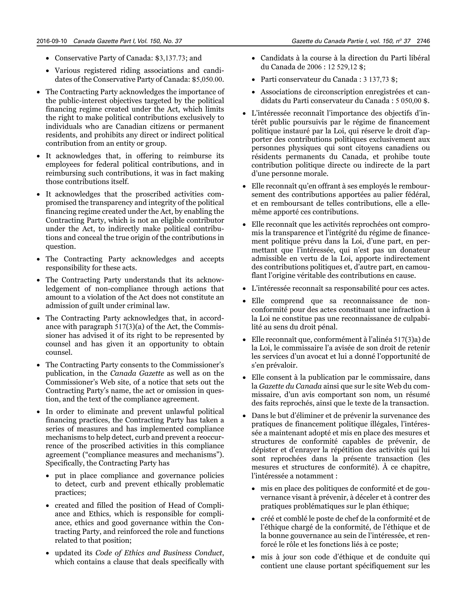- Conservative Party of Canada: \$3,137.73; and
- Various registered riding associations and candidates of the Conservative Party of Canada: \$5,050.00.
- The Contracting Party acknowledges the importance of the public-interest objectives targeted by the political financing regime created under the Act, which limits the right to make political contributions exclusively to individuals who are Canadian citizens or permanent residents, and prohibits any direct or indirect political contribution from an entity or group.
- It acknowledges that, in offering to reimburse its employees for federal political contributions, and in reimbursing such contributions, it was in fact making those contributions itself.
- It acknowledges that the proscribed activities compromised the transparency and integrity of the political financing regime created under the Act, by enabling the Contracting Party, which is not an eligible contributor under the Act, to indirectly make political contributions and conceal the true origin of the contributions in question.
- The Contracting Party acknowledges and accepts responsibility for these acts.
- The Contracting Party understands that its acknowledgement of non-compliance through actions that amount to a violation of the Act does not constitute an admission of guilt under criminal law.
- The Contracting Party acknowledges that, in accordance with paragraph 517(3)(a) of the Act, the Commissioner has advised it of its right to be represented by counsel and has given it an opportunity to obtain counsel.
- The Contracting Party consents to the Commissioner's publication, in the *Canada Gazette* as well as on the Commissioner's Web site, of a notice that sets out the Contracting Party's name, the act or omission in question, and the text of the compliance agreement.
- In order to eliminate and prevent unlawful political financing practices, the Contracting Party has taken a series of measures and has implemented compliance mechanisms to help detect, curb and prevent a reoccurrence of the proscribed activities in this compliance agreement ("compliance measures and mechanisms"). Specifically, the Contracting Party has
	- put in place compliance and governance policies to detect, curb and prevent ethically problematic practices;
	- created and filled the position of Head of Compliance and Ethics, which is responsible for compliance, ethics and good governance within the Contracting Party, and reinforced the role and functions related to that position;
	- updated its *Code of Ethics and Business Conduct*, which contains a clause that deals specifically with
- Candidats à la course à la direction du Parti libéral du Canada de 2006 : 12 529,12 \$;
- Parti conservateur du Canada : 3 137,73 \$;
- Associations de circonscription enregistrées et candidats du Parti conservateur du Canada : 5 050,00 \$.
- L'intéressée reconnaît l'importance des objectifs d'intérêt public poursuivis par le régime de financement politique instauré par la Loi, qui réserve le droit d'apporter des contributions politiques exclusivement aux personnes physiques qui sont citoyens canadiens ou résidents permanents du Canada, et prohibe toute contribution politique directe ou indirecte de la part d'une personne morale.
- Elle reconnaît qu'en offrant à ses employés le remboursement des contributions apportées au palier fédéral, et en remboursant de telles contributions, elle a ellemême apporté ces contributions.
- Elle reconnaît que les activités reprochées ont compromis la transparence et l'intégrité du régime de financement politique prévu dans la Loi, d'une part, en permettant que l'intéressée, qui n'est pas un donateur admissible en vertu de la Loi, apporte indirectement des contributions politiques et, d'autre part, en camouflant l'origine véritable des contributions en cause.
- L'intéressée reconnaît sa responsabilité pour ces actes.
- Elle comprend que sa reconnaissance de nonconformité pour des actes constituant une infraction à la Loi ne constitue pas une reconnaissance de culpabilité au sens du droit pénal.
- Elle reconnaît que, conformément à l'alinéa 517(3)a) de la Loi, le commissaire l'a avisée de son droit de retenir les services d'un avocat et lui a donné l'opportunité de s'en prévaloir.
- Elle consent à la publication par le commissaire, dans la *Gazette du Canada* ainsi que sur le site Web du commissaire, d'un avis comportant son nom, un résumé des faits reprochés, ainsi que le texte de la transaction.
- Dans le but d'éliminer et de prévenir la survenance des pratiques de financement politique illégales, l'intéressée a maintenant adopté et mis en place des mesures et structures de conformité capables de prévenir, de dépister et d'enrayer la répétition des activités qui lui sont reprochées dans la présente transaction (les mesures et structures de conformité). À ce chapitre, l'intéressée a notamment :
	- mis en place des politiques de conformité et de gouvernance visant à prévenir, à déceler et à contrer des pratiques problématiques sur le plan éthique;
	- créé et comblé le poste de chef de la conformité et de l'éthique chargé de la conformité, de l'éthique et de la bonne gouvernance au sein de l'intéressée, et renforcé le rôle et les fonctions liés à ce poste;
	- mis à jour son code d'éthique et de conduite qui contient une clause portant spécifiquement sur les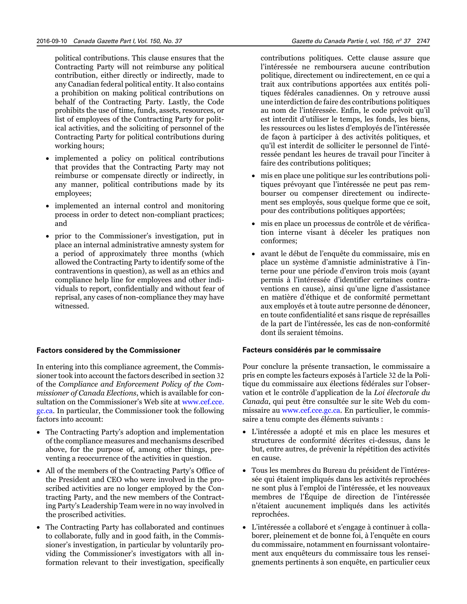political contributions. This clause ensures that the Contracting Party will not reimburse any political contribution, either directly or indirectly, made to any Canadian federal political entity. It also contains a prohibition on making political contributions on behalf of the Contracting Party. Lastly, the Code prohibits the use of time, funds, assets, resources, or list of employees of the Contracting Party for political activities, and the soliciting of personnel of the Contracting Party for political contributions during working hours;

- implemented a policy on political contributions that provides that the Contracting Party may not reimburse or compensate directly or indirectly, in any manner, political contributions made by its employees;
- implemented an internal control and monitoring process in order to detect non-compliant practices; and
- prior to the Commissioner's investigation, put in place an internal administrative amnesty system for a period of approximately three months (which allowed the Contracting Party to identify some of the contraventions in question), as well as an ethics and compliance help line for employees and other individuals to report, confidentially and without fear of reprisal, any cases of non-compliance they may have witnessed.

#### **Factors considered by the Commissioner**

In entering into this compliance agreement, the Commissioner took into account the factors described in section 32 of the *Compliance and Enforcement Policy of the Commissioner of Canada Elections*, which is available for consultation on the Commissioner's Web site at [www.cef.cce.](http://www.cef.cce.gc.ca) [gc.ca](http://www.cef.cce.gc.ca). In particular, the Commissioner took the following factors into account:

- The Contracting Party's adoption and implementation of the compliance measures and mechanisms described above, for the purpose of, among other things, preventing a reoccurrence of the activities in question.
- All of the members of the Contracting Party's Office of the President and CEO who were involved in the proscribed activities are no longer employed by the Contracting Party, and the new members of the Contracting Party's Leadership Team were in no way involved in the proscribed activities.
- The Contracting Party has collaborated and continues to collaborate, fully and in good faith, in the Commissioner's investigation, in particular by voluntarily providing the Commissioner's investigators with all information relevant to their investigation, specifically

contributions politiques. Cette clause assure que l'intéressée ne remboursera aucune contribution politique, directement ou indirectement, en ce qui a trait aux contributions apportées aux entités politiques fédérales canadiennes. On y retrouve aussi une interdiction de faire des contributions politiques au nom de l'intéressée. Enfin, le code prévoit qu'il est interdit d'utiliser le temps, les fonds, les biens, les ressources ou les listes d'employés de l'intéressée de façon à participer à des activités politiques, et qu'il est interdit de solliciter le personnel de l'intéressée pendant les heures de travail pour l'inciter à faire des contributions politiques;

- mis en place une politique sur les contributions politiques prévoyant que l'intéressée ne peut pas rembourser ou compenser directement ou indirectement ses employés, sous quelque forme que ce soit, pour des contributions politiques apportées;
- mis en place un processus de contrôle et de vérification interne visant à déceler les pratiques non conformes;
- avant le début de l'enquête du commissaire, mis en place un système d'amnistie administrative à l'interne pour une période d'environ trois mois (ayant permis à l'intéressée d'identifier certaines contraventions en cause), ainsi qu'une ligne d'assistance en matière d'éthique et de conformité permettant aux employés et à toute autre personne de dénoncer, en toute confidentialité et sans risque de représailles de la part de l'intéressée, les cas de non-conformité dont ils seraient témoins.

#### **Facteurs considérés par le commissaire**

Pour conclure la présente transaction, le commissaire a pris en compte les facteurs exposés à l'article 32 de la Politique du commissaire aux élections fédérales sur l'observation et le contrôle d'application de la *Loi électorale du Canada*, qui peut être consultée sur le site Web du commissaire au [www.cef.cce.gc.ca](http://www.cef.cce.gc.ca). En particulier, le commissaire a tenu compte des éléments suivants :

- L'intéressée a adopté et mis en place les mesures et structures de conformité décrites ci-dessus, dans le but, entre autres, de prévenir la répétition des activités en cause.
- Tous les membres du Bureau du président de l'intéressée qui étaient impliqués dans les activités reprochées ne sont plus à l'emploi de l'intéressée, et les nouveaux membres de l'Équipe de direction de l'intéressée n'étaient aucunement impliqués dans les activités reprochées.
- L'intéressée a collaboré et s'engage à continuer à collaborer, pleinement et de bonne foi, à l'enquête en cours du commissaire, notamment en fournissant volontairement aux enquêteurs du commissaire tous les renseignements pertinents à son enquête, en particulier ceux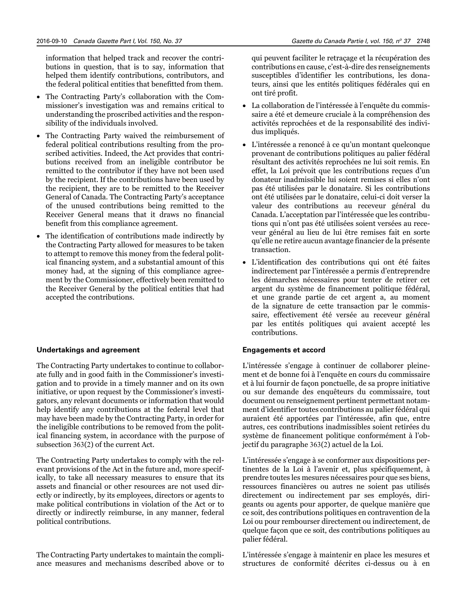information that helped track and recover the contributions in question, that is to say, information that helped them identify contributions, contributors, and the federal political entities that benefitted from them.

- The Contracting Party's collaboration with the Commissioner's investigation was and remains critical to understanding the proscribed activities and the responsibility of the individuals involved.
- The Contracting Party waived the reimbursement of federal political contributions resulting from the proscribed activities. Indeed, the Act provides that contributions received from an ineligible contributor be remitted to the contributor if they have not been used by the recipient. If the contributions have been used by the recipient, they are to be remitted to the Receiver General of Canada. The Contracting Party's acceptance of the unused contributions being remitted to the Receiver General means that it draws no financial benefit from this compliance agreement.
- The identification of contributions made indirectly by the Contracting Party allowed for measures to be taken to attempt to remove this money from the federal political financing system, and a substantial amount of this money had, at the signing of this compliance agreement by the Commissioner, effectively been remitted to the Receiver General by the political entities that had accepted the contributions.

#### **Undertakings and agreement**

The Contracting Party undertakes to continue to collaborate fully and in good faith in the Commissioner's investigation and to provide in a timely manner and on its own initiative, or upon request by the Commissioner's investigators, any relevant documents or information that would help identify any contributions at the federal level that may have been made by the Contracting Party, in order for the ineligible contributions to be removed from the political financing system, in accordance with the purpose of subsection 363(2) of the current Act.

The Contracting Party undertakes to comply with the relevant provisions of the Act in the future and, more specifically, to take all necessary measures to ensure that its assets and financial or other resources are not used directly or indirectly, by its employees, directors or agents to make political contributions in violation of the Act or to directly or indirectly reimburse, in any manner, federal political contributions.

The Contracting Party undertakes to maintain the compliance measures and mechanisms described above or to qui peuvent faciliter le retraçage et la récupération des contributions en cause, c'est-à-dire des renseignements susceptibles d'identifier les contributions, les donateurs, ainsi que les entités politiques fédérales qui en ont tiré profit.

- La collaboration de l'intéressée à l'enquête du commissaire a été et demeure cruciale à la compréhension des activités reprochées et de la responsabilité des individus impliqués.
- L'intéressée a renoncé à ce qu'un montant quelconque provenant de contributions politiques au palier fédéral résultant des activités reprochées ne lui soit remis. En effet, la Loi prévoit que les contributions reçues d'un donateur inadmissible lui soient remises si elles n'ont pas été utilisées par le donataire. Si les contributions ont été utilisées par le donataire, celui-ci doit verser la valeur des contributions au receveur général du Canada. L'acceptation par l'intéressée que les contributions qui n'ont pas été utilisées soient versées au receveur général au lieu de lui être remises fait en sorte qu'elle ne retire aucun avantage financier de la présente transaction.
- L'identification des contributions qui ont été faites indirectement par l'intéressée a permis d'entreprendre les démarches nécessaires pour tenter de retirer cet argent du système de financement politique fédéral, et une grande partie de cet argent a, au moment de la signature de cette transaction par le commissaire, effectivement été versée au receveur général par les entités politiques qui avaient accepté les contributions.

#### **Engagements et accord**

L'intéressée s'engage à continuer de collaborer pleinement et de bonne foi à l'enquête en cours du commissaire et à lui fournir de façon ponctuelle, de sa propre initiative ou sur demande des enquêteurs du commissaire, tout document ou renseignement pertinent permettant notamment d'identifier toutes contributions au palier fédéral qui auraient été apportées par l'intéressée, afin que, entre autres, ces contributions inadmissibles soient retirées du système de financement politique conformément à l'objectif du paragraphe 363(2) actuel de la Loi.

L'intéressée s'engage à se conformer aux dispositions pertinentes de la Loi à l'avenir et, plus spécifiquement, à prendre toutes les mesures nécessaires pour que ses biens, ressources financières ou autres ne soient pas utilisés directement ou indirectement par ses employés, dirigeants ou agents pour apporter, de quelque manière que ce soit, des contributions politiques en contravention de la Loi ou pour rembourser directement ou indirectement, de quelque façon que ce soit, des contributions politiques au palier fédéral.

L'intéressée s'engage à maintenir en place les mesures et structures de conformité décrites ci-dessus ou à en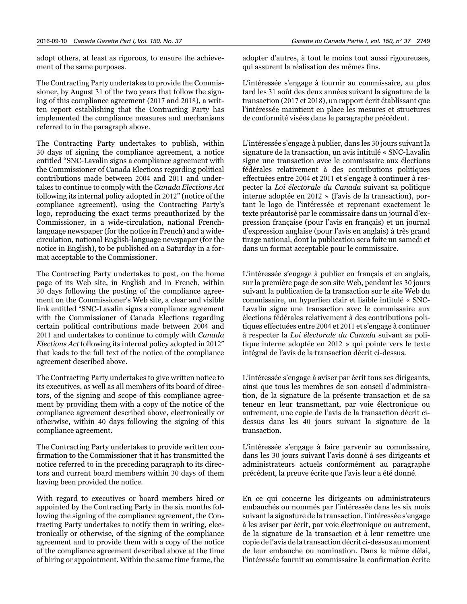adopt others, at least as rigorous, to ensure the achievement of the same purposes.

The Contracting Party undertakes to provide the Commissioner, by August 31 of the two years that follow the signing of this compliance agreement (2017 and 2018), a written report establishing that the Contracting Party has implemented the compliance measures and mechanisms referred to in the paragraph above.

The Contracting Party undertakes to publish, within 30 days of signing the compliance agreement, a notice entitled "SNC-Lavalin signs a compliance agreement with the Commissioner of Canada Elections regarding political contributions made between 2004 and 2011 and undertakes to continue to comply with the *Canada Elections Act*  following its internal policy adopted in 2012" (notice of the compliance agreement), using the Contracting Party's logo, reproducing the exact terms preauthorized by the Commissioner, in a wide-circulation, national Frenchlanguage newspaper (for the notice in French) and a widecirculation, national English-language newspaper (for the notice in English), to be published on a Saturday in a format acceptable to the Commissioner.

The Contracting Party undertakes to post, on the home page of its Web site, in English and in French, within 30 days following the posting of the compliance agreement on the Commissioner's Web site, a clear and visible link entitled "SNC-Lavalin signs a compliance agreement with the Commissioner of Canada Elections regarding certain political contributions made between 2004 and 2011 and undertakes to continue to comply with *Canada Elections Act* following its internal policy adopted in 2012" that leads to the full text of the notice of the compliance agreement described above.

The Contracting Party undertakes to give written notice to its executives, as well as all members of its board of directors, of the signing and scope of this compliance agreement by providing them with a copy of the notice of the compliance agreement described above, electronically or otherwise, within 40 days following the signing of this compliance agreement.

The Contracting Party undertakes to provide written confirmation to the Commissioner that it has transmitted the notice referred to in the preceding paragraph to its directors and current board members within 30 days of them having been provided the notice.

With regard to executives or board members hired or appointed by the Contracting Party in the six months following the signing of the compliance agreement, the Contracting Party undertakes to notify them in writing, electronically or otherwise, of the signing of the compliance agreement and to provide them with a copy of the notice of the compliance agreement described above at the time of hiring or appointment. Within the same time frame, the

adopter d'autres, à tout le moins tout aussi rigoureuses, qui assurent la réalisation des mêmes fins.

L'intéressée s'engage à fournir au commissaire, au plus tard les 31 août des deux années suivant la signature de la transaction (2017 et 2018), un rapport écrit établissant que l'intéressée maintient en place les mesures et structures de conformité visées dans le paragraphe précédent.

L'intéressée s'engage à publier, dans les 30 jours suivant la signature de la transaction, un avis intitulé « SNC-Lavalin signe une transaction avec le commissaire aux élections fédérales relativement à des contributions politiques effectuées entre 2004 et 2011 et s'engage à continuer à respecter la *Loi électorale du Canada* suivant sa politique interne adoptée en 2012 » (l'avis de la transaction), portant le logo de l'intéressée et reprenant exactement le texte préautorisé par le commissaire dans un journal d'expression française (pour l'avis en français) et un journal d'expression anglaise (pour l'avis en anglais) à très grand tirage national, dont la publication sera faite un samedi et dans un format acceptable pour le commissaire.

L'intéressée s'engage à publier en français et en anglais, sur la première page de son site Web, pendant les 30 jours suivant la publication de la transaction sur le site Web du commissaire, un hyperlien clair et lisible intitulé « SNC-Lavalin signe une transaction avec le commissaire aux élections fédérales relativement à des contributions politiques effectuées entre 2004 et 2011 et s'engage à continuer à respecter la *Loi électorale du Canada* suivant sa politique interne adoptée en 2012 » qui pointe vers le texte intégral de l'avis de la transaction décrit ci-dessus.

L'intéressée s'engage à aviser par écrit tous ses dirigeants, ainsi que tous les membres de son conseil d'administration, de la signature de la présente transaction et de sa teneur en leur transmettant, par voie électronique ou autrement, une copie de l'avis de la transaction décrit cidessus dans les 40 jours suivant la signature de la transaction.

L'intéressée s'engage à faire parvenir au commissaire, dans les 30 jours suivant l'avis donné à ses dirigeants et administrateurs actuels conformément au paragraphe précédent, la preuve écrite que l'avis leur a été donné.

En ce qui concerne les dirigeants ou administrateurs embauchés ou nommés par l'intéressée dans les six mois suivant la signature de la transaction, l'intéressée s'engage à les aviser par écrit, par voie électronique ou autrement, de la signature de la transaction et à leur remettre une copie de l'avis de la transaction décrit ci-dessus au moment de leur embauche ou nomination. Dans le même délai, l'intéressée fournit au commissaire la confirmation écrite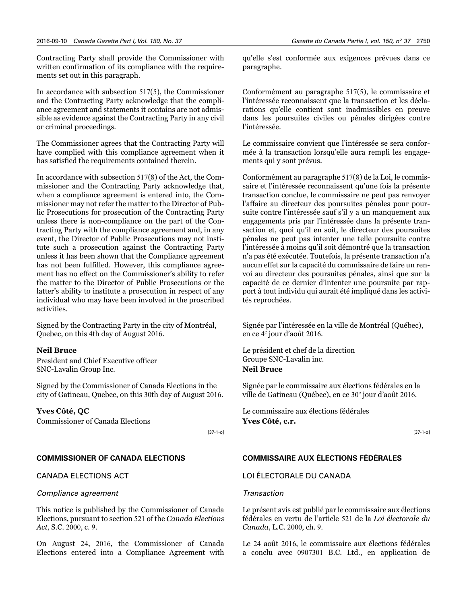Contracting Party shall provide the Commissioner with written confirmation of its compliance with the requirements set out in this paragraph.

In accordance with subsection 517(5), the Commissioner and the Contracting Party acknowledge that the compliance agreement and statements it contains are not admissible as evidence against the Contracting Party in any civil or criminal proceedings.

The Commissioner agrees that the Contracting Party will have complied with this compliance agreement when it has satisfied the requirements contained therein.

In accordance with subsection 517(8) of the Act, the Commissioner and the Contracting Party acknowledge that, when a compliance agreement is entered into, the Commissioner may not refer the matter to the Director of Public Prosecutions for prosecution of the Contracting Party unless there is non-compliance on the part of the Contracting Party with the compliance agreement and, in any event, the Director of Public Prosecutions may not institute such a prosecution against the Contracting Party unless it has been shown that the Compliance agreement has not been fulfilled. However, this compliance agreement has no effect on the Commissioner's ability to refer the matter to the Director of Public Prosecutions or the latter's ability to institute a prosecution in respect of any individual who may have been involved in the proscribed activities.

Signed by the Contracting Party in the city of Montréal, Quebec, on this 4th day of August 2016.

#### **Neil Bruce**

President and Chief Executive officer SNC-Lavalin Group Inc.

Signed by the Commissioner of Canada Elections in the city of Gatineau, Quebec, on this 30th day of August 2016.

#### **Yves Côté, QC**

Commissioner of Canada Elections

[37-1-o]

#### **COMMISSIONER OF CANADA ELECTIONS**

CANADA ELECTIONS ACT

#### *Compliance agreement*

This notice is published by the Commissioner of Canada Elections, pursuant to section 521 of the *Canada Elections Act*, S.C. 2000, c. 9.

On August 24, 2016, the Commissioner of Canada Elections entered into a Compliance Agreement with qu'elle s'est conformée aux exigences prévues dans ce paragraphe.

Conformément au paragraphe 517(5), le commissaire et l'intéressée reconnaissent que la transaction et les déclarations qu'elle contient sont inadmissibles en preuve dans les poursuites civiles ou pénales dirigées contre l'intéressée.

Le commissaire convient que l'intéressée se sera conformée à la transaction lorsqu'elle aura rempli les engagements qui y sont prévus.

Conformément au paragraphe 517(8) de la Loi, le commissaire et l'intéressée reconnaissent qu'une fois la présente transaction conclue, le commissaire ne peut pas renvoyer l'affaire au directeur des poursuites pénales pour poursuite contre l'intéressée sauf s'il y a un manquement aux engagements pris par l'intéressée dans la présente transaction et, quoi qu'il en soit, le directeur des poursuites pénales ne peut pas intenter une telle poursuite contre l'intéressée à moins qu'il soit démontré que la transaction n'a pas été exécutée. Toutefois, la présente transaction n'a aucun effet sur la capacité du commissaire de faire un renvoi au directeur des poursuites pénales, ainsi que sur la capacité de ce dernier d'intenter une poursuite par rapport à tout individu qui aurait été impliqué dans les activités reprochées.

Signée par l'intéressée en la ville de Montréal (Québec), en ce 4<sup>e</sup> jour d'août 2016.

Le président et chef de la direction Groupe SNC-Lavalin inc. **Neil Bruce**

Signée par le commissaire aux élections fédérales en la ville de Gatineau (Québec), en ce 30<sup>e</sup> jour d'août 2016.

Le commissaire aux élections fédérales **Yves Côté, c.r.**

[37-1-o]

#### **COMMISSAIRE AUX ÉLECTIONS FÉDÉRALES**

LOI ÉLECTORALE DU CANADA

#### *Transaction*

Le présent avis est publié par le commissaire aux élections fédérales en vertu de l'article 521 de la *Loi électorale du Canada*, L.C. 2000, ch. 9.

Le 24 août 2016, le commissaire aux élections fédérales a conclu avec 0907301 B.C. Ltd., en application de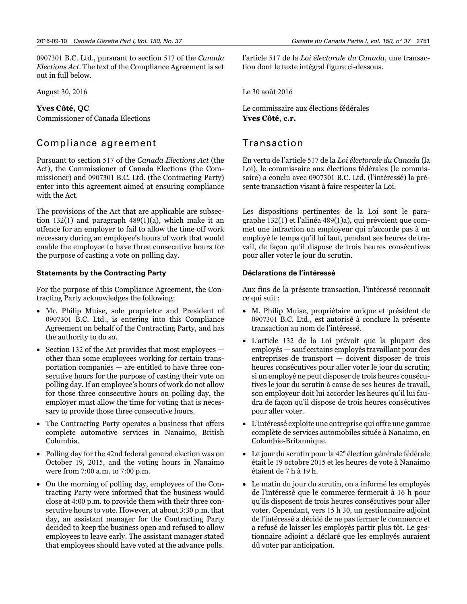0907301 B.C. Ltd., pursuant to section 517 of the *Canada Elections Act*. The text of the Compliance Agreement is set out in full below.

August 30, 2016

#### **Yves Côté, QC**

Commissioner of Canada Elections

## Compliance agreement

Pursuant to section 517 of the *Canada Elections Act* (the Act), the Commissioner of Canada Elections (the Commissioner) and 0907301 B.C. Ltd. (the Contracting Party) enter into this agreement aimed at ensuring compliance with the Act.

The provisions of the Act that are applicable are subsection 132(1) and paragraph 489(1)(a), which make it an offence for an employer to fail to allow the time off work necessary during an employee's hours of work that would enable the employee to have three consecutive hours for the purpose of casting a vote on polling day.

#### **Statements by the Contracting Party**

For the purpose of this Compliance Agreement, the Contracting Party acknowledges the following:

- Mr. Philip Muise, sole proprietor and President of 0907301 B.C. Ltd., is entering into this Compliance Agreement on behalf of the Contracting Party, and has the authority to do so.
- Section 132 of the Act provides that most employees other than some employees working for certain transportation companies — are entitled to have three consecutive hours for the purpose of casting their vote on polling day. If an employee's hours of work do not allow for those three consecutive hours on polling day, the employer must allow the time for voting that is necessary to provide those three consecutive hours.
- The Contracting Party operates a business that offers complete automotive services in Nanaimo, British Columbia.
- Polling day for the 42nd federal general election was on October 19, 2015, and the voting hours in Nanaimo were from 7:00 a.m. to 7:00 p.m.
- On the morning of polling day, employees of the Contracting Party were informed that the business would close at 4:00 p.m. to provide them with their three consecutive hours to vote. However, at about 3:30 p.m. that day, an assistant manager for the Contracting Party decided to keep the business open and refused to allow employees to leave early. The assistant manager stated that employees should have voted at the advance polls.

l'article 517 de la *Loi électorale du Canada*, une transaction dont le texte intégral figure ci-dessous.

Le 30 août 2016

Le commissaire aux élections fédérales **Yves Côté, c.r.**

## Transaction

En vertu de l'article 517 de la *Loi électorale du Canada* (la Loi), le commissaire aux élections fédérales (le commissaire) a conclu avec 0907301 B.C. Ltd. (l'intéressé) la présente transaction visant à faire respecter la Loi.

Les dispositions pertinentes de la Loi sont le paragraphe 132(1) et l'alinéa 489(1)a), qui prévoient que commet une infraction un employeur qui n'accorde pas à un employé le temps qu'il lui faut, pendant ses heures de travail, de façon qu'il dispose de trois heures consécutives pour aller voter le jour du scrutin.

#### **Déclarations de l'intéressé**

Aux fins de la présente transaction, l'intéressé reconnaît ce qui suit :

- M. Philip Muise, propriétaire unique et président de 0907301 B.C. Ltd., est autorisé à conclure la présente transaction au nom de l'intéressé.
- L'article 132 de la Loi prévoit que la plupart des employés — sauf certains employés travaillant pour des entreprises de transport — doivent disposer de trois heures consécutives pour aller voter le jour du scrutin; si un employé ne peut disposer de trois heures consécutives le jour du scrutin à cause de ses heures de travail, son employeur doit lui accorder les heures qu'il lui faudra de façon qu'il dispose de trois heures consécutives pour aller voter.
- L'intéressé exploite une entreprise qui offre une gamme complète de services automobiles située à Nanaimo, en Colombie-Britannique.
- $\bullet$  Le jour du scrutin pour la 42<sup>e</sup> élection générale fédérale était le 19 octobre 2015 et les heures de vote à Nanaimo étaient de 7 h à 19 h.
- Le matin du jour du scrutin, on a informé les employés de l'intéressé que le commerce fermerait à 16 h pour qu'ils disposent de trois heures consécutives pour aller voter. Cependant, vers 15 h 30, un gestionnaire adjoint de l'intéressé a décidé de ne pas fermer le commerce et a refusé de laisser les employés partir plus tôt. Le gestionnaire adjoint a déclaré que les employés auraient dû voter par anticipation.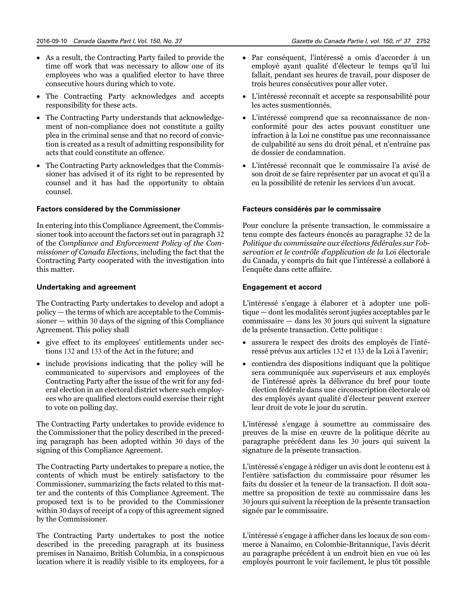- As a result, the Contracting Party failed to provide the time off work that was necessary to allow one of its employees who was a qualified elector to have three consecutive hours during which to vote.
- The Contracting Party acknowledges and accepts responsibility for these acts.
- The Contracting Party understands that acknowledgement of non-compliance does not constitute a guilty plea in the criminal sense and that no record of conviction is created as a result of admitting responsibility for acts that could constitute an offence.
- The Contracting Party acknowledges that the Commissioner has advised it of its right to be represented by counsel and it has had the opportunity to obtain counsel.

#### **Factors considered by the Commissioner**

In entering into this Compliance Agreement, the Commissioner took into account the factors set out in paragraph 32 of the *Compliance and Enforcement Policy of the Commissioner of Canada Elections*, including the fact that the Contracting Party cooperated with the investigation into this matter.

#### **Undertaking and agreement**

The Contracting Party undertakes to develop and adopt a policy — the terms of which are acceptable to the Commissioner — within 30 days of the signing of this Compliance Agreement. This policy shall

- give effect to its employees' entitlements under sections 132 and 133 of the Act in the future; and
- include provisions indicating that the policy will be communicated to supervisors and employees of the Contracting Party after the issue of the writ for any federal election in an electoral district where such employees who are qualified electors could exercise their right to vote on polling day.

The Contracting Party undertakes to provide evidence to the Commissioner that the policy described in the preceding paragraph has been adopted within 30 days of the signing of this Compliance Agreement.

The Contracting Party undertakes to prepare a notice, the contents of which must be entirely satisfactory to the Commissioner, summarizing the facts related to this matter and the contents of this Compliance Agreement. The proposed text is to be provided to the Commissioner within 30 days of receipt of a copy of this agreement signed by the Commissioner.

The Contracting Party undertakes to post the notice described in the preceding paragraph at its business premises in Nanaimo, British Columbia, in a conspicuous location where it is readily visible to its employees, for a

- Par conséquent, l'intéressé a omis d'accorder à un employé ayant qualité d'électeur le temps qu'il lui fallait, pendant ses heures de travail, pour disposer de trois heures consécutives pour aller voter.
- L'intéressé reconnaît et accepte sa responsabilité pour les actes susmentionnés.
- L'intéressé comprend que sa reconnaissance de nonconformité pour des actes pouvant constituer une infraction à la Loi ne constitue pas une reconnaissance de culpabilité au sens du droit pénal, et n'entraîne pas de dossier de condamnation.
- L'intéressé reconnaît que le commissaire l'a avisé de son droit de se faire représenter par un avocat et qu'il a eu la possibilité de retenir les services d'un avocat.

#### **Facteurs considérés par le commissaire**

Pour conclure la présente transaction, le commissaire a tenu compte des facteurs énoncés au paragraphe 32 de la *Politique du commissaire aux élections fédérales sur l'observation et le contrôle d'application de la* Loi électorale du Canada, y compris du fait que l'intéressé a collaboré à l'enquête dans cette affaire.

#### **Engagement et accord**

L'intéressé s'engage à élaborer et à adopter une politique — dont les modalités seront jugées acceptables par le commissaire — dans les 30 jours qui suivent la signature de la présente transaction. Cette politique :

- assurera le respect des droits des employés de l'intéressé prévus aux articles 132 et 133 de la Loi à l'avenir;
- contiendra des dispositions indiquant que la politique sera communiquée aux superviseurs et aux employés de l'intéressé après la délivrance du bref pour toute élection fédérale dans une circonscription électorale où des employés ayant qualité d'électeur peuvent exercer leur droit de vote le jour du scrutin.

L'intéressé s'engage à soumettre au commissaire des preuves de la mise en œuvre de la politique décrite au paragraphe précédent dans les 30 jours qui suivent la signature de la présente transaction.

L'intéressé s'engage à rédiger un avis dont le contenu est à l'entière satisfaction du commissaire pour résumer les faits du dossier et la teneur de la transaction. Il doit soumettre sa proposition de texte au commissaire dans les 30 jours qui suivent la réception de la présente transaction signée par le commissaire.

L'intéressé s'engage à afficher dans les locaux de son commerce à Nanaimo, en Colombie-Britannique, l'avis décrit au paragraphe précédent à un endroit bien en vue où les employés pourront le voir facilement, le plus tôt possible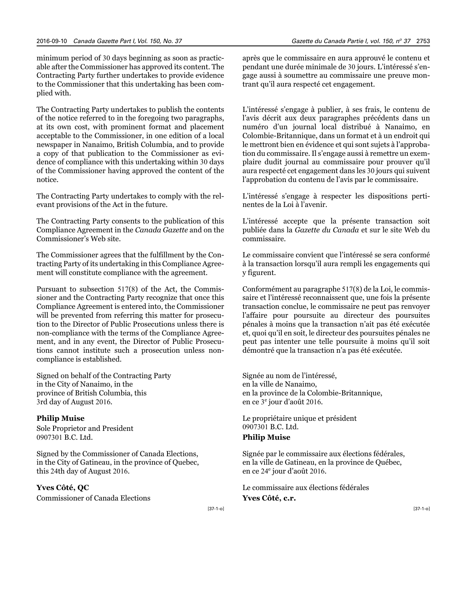minimum period of 30 days beginning as soon as practicable after the Commissioner has approved its content. The Contracting Party further undertakes to provide evidence to the Commissioner that this undertaking has been complied with.

The Contracting Party undertakes to publish the contents of the notice referred to in the foregoing two paragraphs, at its own cost, with prominent format and placement acceptable to the Commissioner, in one edition of a local newspaper in Nanaimo, British Columbia, and to provide a copy of that publication to the Commissioner as evidence of compliance with this undertaking within 30 days of the Commissioner having approved the content of the notice.

The Contracting Party undertakes to comply with the relevant provisions of the Act in the future.

The Contracting Party consents to the publication of this Compliance Agreement in the *Canada Gazette* and on the Commissioner's Web site.

The Commissioner agrees that the fulfillment by the Contracting Party of its undertaking in this Compliance Agreement will constitute compliance with the agreement.

Pursuant to subsection 517(8) of the Act, the Commissioner and the Contracting Party recognize that once this Compliance Agreement is entered into, the Commissioner will be prevented from referring this matter for prosecution to the Director of Public Prosecutions unless there is non-compliance with the terms of the Compliance Agreement, and in any event, the Director of Public Prosecutions cannot institute such a prosecution unless noncompliance is established.

Signed on behalf of the Contracting Party in the City of Nanaimo, in the province of British Columbia, this 3rd day of August 2016.

#### **Philip Muise**

Sole Proprietor and President 0907301 B.C. Ltd.

Signed by the Commissioner of Canada Elections, in the City of Gatineau, in the province of Quebec, this 24th day of August 2016.

#### **Yves Côté, QC**

Commissioner of Canada Elections

après que le commissaire en aura approuvé le contenu et pendant une durée minimale de 30 jours. L'intéressé s'engage aussi à soumettre au commissaire une preuve montrant qu'il aura respecté cet engagement.

L'intéressé s'engage à publier, à ses frais, le contenu de l'avis décrit aux deux paragraphes précédents dans un numéro d'un journal local distribué à Nanaimo, en Colombie-Britannique, dans un format et à un endroit qui le mettront bien en évidence et qui sont sujets à l'approbation du commissaire. Il s'engage aussi à remettre un exemplaire dudit journal au commissaire pour prouver qu'il aura respecté cet engagement dans les 30 jours qui suivent l'approbation du contenu de l'avis par le commissaire.

L'intéressé s'engage à respecter les dispositions pertinentes de la Loi à l'avenir.

L'intéressé accepte que la présente transaction soit publiée dans la *Gazette du Canada* et sur le site Web du commissaire.

Le commissaire convient que l'intéressé se sera conformé à la transaction lorsqu'il aura rempli les engagements qui y figurent.

Conformément au paragraphe 517(8) de la Loi, le commissaire et l'intéressé reconnaissent que, une fois la présente transaction conclue, le commissaire ne peut pas renvoyer l'affaire pour poursuite au directeur des poursuites pénales à moins que la transaction n'ait pas été exécutée et, quoi qu'il en soit, le directeur des poursuites pénales ne peut pas intenter une telle poursuite à moins qu'il soit démontré que la transaction n'a pas été exécutée.

Signée au nom de l'intéressé, en la ville de Nanaimo, en la province de la Colombie-Britannique, en ce 3<sup>e</sup> jour d'août 2016.

Le propriétaire unique et président 0907301 B.C. Ltd. **Philip Muise**

Signée par le commissaire aux élections fédérales, en la ville de Gatineau, en la province de Québec, en ce 24<sup>e</sup> jour d'août 2016.

Le commissaire aux élections fédérales **Yves Côté, c.r.**

[37-1-o]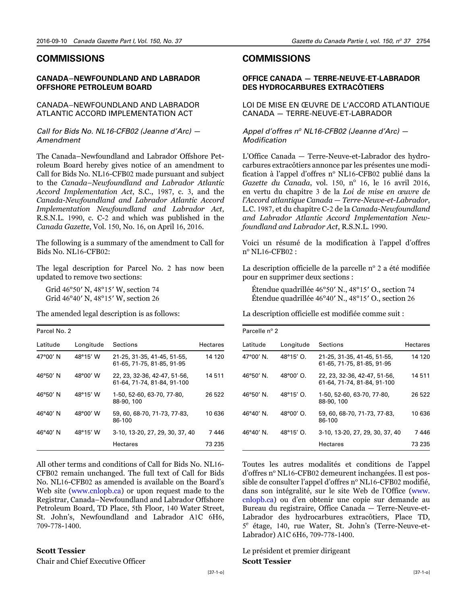#### <span id="page-17-0"></span>**COMMISSIONS**

#### **CANADA–NEWFOUNDLAND AND LABRADOR OFFSHORE PETROLEUM BOARD**

#### CANADA–NEWFOUNDLAND AND LABRADOR ATLANTIC ACCORD IMPLEMENTATION ACT

#### *Call for Bids No. NL16-CFB02 (Jeanne d'Arc) — Amendment*

The Canada–Newfoundland and Labrador Offshore Petroleum Board hereby gives notice of an amendment to Call for Bids No. NL16-CFB02 made pursuant and subject to the *Canada–Newfoundland and Labrador Atlantic Accord Implementation Act*, S.C., 1987, c. 3, and the *Canada-Newfoundland and Labrador Atlantic Accord Implementation Newfoundland and Labrador Act*, R.S.N.L. 1990, c. C-2 and which was published in the *Canada Gazette*, Vol. 150, No. 16, on April 16, 2016.

The following is a summary of the amendment to Call for Bids No. NL16-CFB02:

The legal description for Parcel No. 2 has now been updated to remove two sections:

Grid 46°50′ N, 48°15′ W, section 74 Grid 46°40′ N, 48°15′ W, section 26

The amended legal description is as follows:

| Parcel No. 2 |           |                                                             |          |
|--------------|-----------|-------------------------------------------------------------|----------|
| Latitude     | Longitude | Sections                                                    | Hectares |
| 47°00' N     | 48°15' W  | 21-25, 31-35, 41-45, 51-55,<br>61-65, 71-75, 81-85, 91-95   | 14 120   |
| 46°50′N      | 48°00' W  | 22, 23, 32-36, 42-47, 51-56,<br>61-64, 71-74, 81-84, 91-100 | 14 511   |
| 46°50′N      | 48°15′ W  | 1-50, 52-60, 63-70, 77-80,<br>88-90, 100                    | 26 522   |
| 46°40' N     | 48°00' W  | 59, 60, 68-70, 71-73, 77-83,<br>86-100                      | 10 636   |
| 46°40' N     | 48°15′ W  | 3-10, 13-20, 27, 29, 30, 37, 40                             | 7446     |
|              |           | Hectares                                                    | 73 235   |

All other terms and conditions of Call for Bids No. NL16- CFB02 remain unchanged. The full text of Call for Bids No. NL16-CFB02 [as amen](http://www.cnlopb.ca)ded is available on the Board's Web site (www.cnlopb.ca) or upon request made to the Registrar, Canada–Newfoundland and Labrador Offshore Petroleum Board, TD Place, 5th Floor, 140 Water Street, St. John's, Newfoundland and Labrador A1C 6H6, 709-778-1400.

#### **Scott Tessier**

Chair and Chief Executive Officer

## **COMMISSIONS**

#### **OFFICE CANADA — TERRE-NEUVE-ET-LABRADOR DES HYDROCARBURES EXTRACÔTIERS**

LOI DE MISE EN ŒUVRE DE L'ACCORD ATLANTIQUE CANADA — TERRE-NEUVE-ET-LABRADOR

*Appel d'offres no NL16-CFB02 (Jeanne d'Arc) — Modification*

L'Office Canada — Terre-Neuve-et-Labrador des hydrocarbures extracôtiers annonce par les présentes une modification à l'appel d'offres n° NL16-CFB02 publié dans la *Gazette du Canada*, vol. 150, nº 16, le 16 avril 2016, en vertu du chapitre 3 de la *Loi de mise en œuvre de l'Accord atlantique Canada — Terre-Neuve-et-Labrador*, L.C. 1987, et du chapitre C-2 de la *Canada-Newfoundland and Labrador Atlantic Accord Implementation Newfoundland and Labrador Act*, R.S.N.L. 1990.

Voici un résumé de la modification à l'appel d'offres no NL16-CFB02 :

La description officielle de la parcelle nº 2 a été modifiée pour en supprimer deux sections :

Étendue quadrillée 46°50′ N., 48°15′ O., section 74 Étendue quadrillée 46°40′ N., 48°15′ O., section 26

La description officielle est modifiée comme suit :

| Parcelle nº 2      |                    |                                                             |                 |
|--------------------|--------------------|-------------------------------------------------------------|-----------------|
| Latitude           | Longitude          | Sections                                                    | <b>Hectares</b> |
| $47^{\circ}00'$ N. | $48^{\circ}15'$ O. | 21-25, 31-35, 41-45, 51-55,<br>61-65, 71-75, 81-85, 91-95   | 14 120          |
| 46°50' N.          | $48^{\circ}00'$ O. | 22, 23, 32-36, 42-47, 51-56,<br>61-64, 71-74, 81-84, 91-100 | 14 511          |
| $46^{\circ}50'$ N. | $48^{\circ}15'$ O. | 1-50, 52-60, 63-70, 77-80,<br>88-90, 100                    | 26 522          |
| 46°40′ N.          | $48^{\circ}00'$ O. | 59, 60, 68-70, 71-73, 77-83,<br>86-100                      | 10 636          |
| $46^{\circ}40'$ N. | $48^{\circ}15'$ O. | 3-10, 13-20, 27, 29, 30, 37, 40                             | 7446            |
|                    |                    | Hectares                                                    | 73 235          |

Toutes les autres modalités et conditions de l'appel d'offres n° NL16-CFB02 demeurent inchangées. Il est possible de consulter l'appel d'offres nº NL16-CFB02 m[odifié,](http://www.cnlopb.ca) [dans son](http://www.cnlopb.ca) intégralité, sur le site Web de l'Office (www. cnlopb.ca) ou d'en obtenir une copie sur demande au Bureau du registraire, Office Canada — Terre-Neuve-et-Labrador des hydrocarbures extracôtiers, Place TD, 5<sup>e</sup> étage, 140, rue Water, St. John's (Terre-Neuve-et-Labrador) A1C 6H6, 709-778-1400.

Le président et premier dirigeant **Scott Tessier**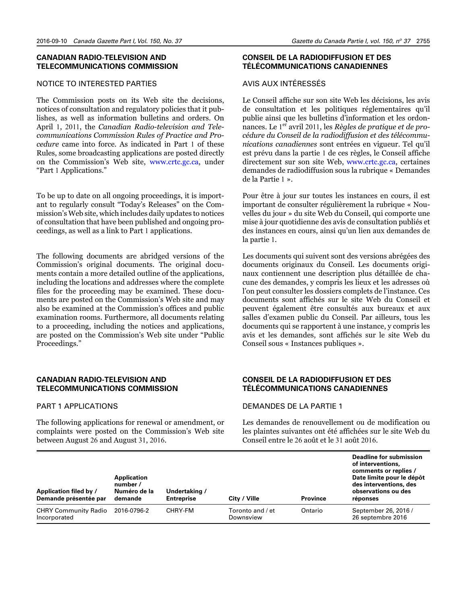#### **CANADIAN RADIO-TELEVISION AND TELECOMMUNICATIONS COMMISSION**

#### NOTICE TO INTERESTED PARTIES

The Commission posts on its Web site the decisions, notices of consultation and regulatory policies that it publishes, as well as information bulletins and orders. On April 1, 2011, the *Canadian Radio-television and Telecommunications Commission Rules of Practice and Procedure* came into force. As indicated in Part 1 of these Rules, some broadcasting applications are posted directly on the Commission's Web site, [www.crtc.gc.ca,](http://www.crtc.gc.ca) under "Part 1 Applications."

To be up to date on all ongoing proceedings, it is important to regularly consult "Today's Releases" on the Commission's Web site, which includes daily updates to notices of consultation that have been published and ongoing proceedings, as well as a link to Part 1 applications.

The following documents are abridged versions of the Commission's original documents. The original documents contain a more detailed outline of the applications, including the locations and addresses where the complete files for the proceeding may be examined. These documents are posted on the Commission's Web site and may also be examined at the Commission's offices and public examination rooms. Furthermore, all documents relating to a proceeding, including the notices and applications, are posted on the Commission's Web site under "Public Proceedings."

#### **CANADIAN RADIO-TELEVISION AND TELECOMMUNICATIONS COMMISSION**

#### PART 1 APPLICATIONS

The following applications for renewal or amendment, or complaints were posted on the Commission's Web site between August 26 and August 31, 2016.

#### **CONSEIL DE LA RADIODIFFUSION ET DES TÉLÉCOMMUNICATIONS CANADIENNES**

#### AVIS AUX INTÉRESSÉS

Le Conseil affiche sur son site Web les décisions, les avis de consultation et les politiques réglementaires qu'il publie ainsi que les bulletins d'information et les ordonnances. Le 1er avril 2011, les *Règles de pratique et de procédure du Conseil de la radiodiffusion et des télécommunications canadiennes* sont entrées en vigueur. Tel qu'il est prévu dans la partie 1 de ces règles, le Conseil affiche directement sur son site Web, [www.crtc.gc.ca,](http://www.crtc.gc.ca) certaines demandes de radiodiffusion sous la rubrique « Demandes de la Partie 1 ».

Pour être à jour sur toutes les instances en cours, il est important de consulter régulièrement la rubrique « Nouvelles du jour » du site Web du Conseil, qui comporte une mise à jour quotidienne des avis de consultation publiés et des instances en cours, ainsi qu'un lien aux demandes de la partie 1.

Les documents qui suivent sont des versions abrégées des documents originaux du Conseil. Les documents originaux contiennent une description plus détaillée de chacune des demandes, y compris les lieux et les adresses où l'on peut consulter les dossiers complets de l'instance. Ces documents sont affichés sur le site Web du Conseil et peuvent également être consultés aux bureaux et aux salles d'examen public du Conseil. Par ailleurs, tous les documents qui se rapportent à une instance, y compris les avis et les demandes, sont affichés sur le site Web du Conseil sous « Instances publiques ».

#### **CONSEIL DE LA RADIODIFFUSION ET DES TÉLÉCOMMUNICATIONS CANADIENNES**

#### DEMANDES DE LA PARTIE 1

Les demandes de renouvellement ou de modification ou les plaintes suivantes ont été affichées sur le site Web du Conseil entre le 26 août et le 31 août 2016.

| Application filed by /<br>Demande présentée par | Application<br>number /<br>Numéro de la<br>demande | Undertaking /<br><b>Entreprise</b> | City / Ville                  | <b>Province</b> | Deadline for submission<br>of interventions.<br>comments or replies /<br>Date limite pour le dépôt<br>des interventions, des<br>observations ou des<br>réponses |
|-------------------------------------------------|----------------------------------------------------|------------------------------------|-------------------------------|-----------------|-----------------------------------------------------------------------------------------------------------------------------------------------------------------|
| <b>CHRY Community Radio</b><br>Incorporated     | 2016-0796-2                                        | CHRY-FM                            | Toronto and / et<br>Downsview | Ontario         | September 26, 2016 /<br>26 septembre 2016                                                                                                                       |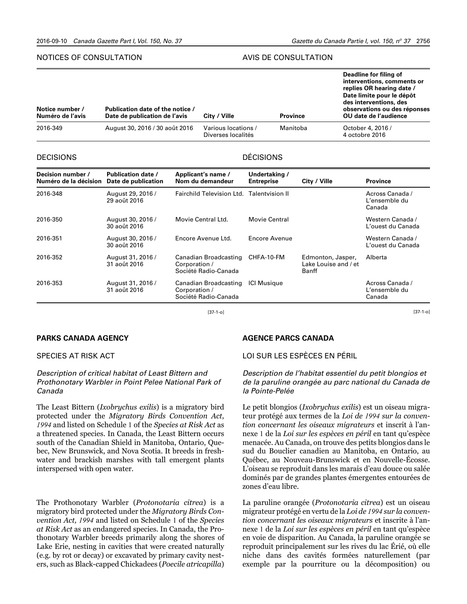#### NOTICES OF CONSULTATION

#### AVIS DE CONSULTATION

| Notice number /<br>Numéro de l'avis | Publication date of the notice /<br>Date de publication de l'avis | City / Ville                              | <b>Province</b> | Deadline for filing of<br>interventions, comments or<br>replies OR hearing date /<br>Date limite pour le dépôt<br>des interventions, des<br>observations ou des réponses<br>OU date de l'audience |
|-------------------------------------|-------------------------------------------------------------------|-------------------------------------------|-----------------|---------------------------------------------------------------------------------------------------------------------------------------------------------------------------------------------------|
| 2016-349                            | August 30, 2016 / 30 août 2016                                    | Various locations /<br>Diverses localités | Manitoba        | October 4, 2016 /<br>4 octobre 2016                                                                                                                                                               |

#### DECISIONS

#### DÉCISIONS

| Decision number /<br>Numéro de la décision | <b>Publication date /</b><br>Date de publication | Applicant's name /<br>Nom du demandeur                         | Undertaking /<br><b>Entreprise</b> | City / Ville                                       | <b>Province</b>                            |
|--------------------------------------------|--------------------------------------------------|----------------------------------------------------------------|------------------------------------|----------------------------------------------------|--------------------------------------------|
| 2016-348                                   | August 29, 2016 /<br>29 août 2016                | Fairchild Television Ltd. Talentyision II                      |                                    |                                                    | Across Canada /<br>L'ensemble du<br>Canada |
| 2016-350                                   | August 30, 2016 /<br>30 août 2016                | Movie Central Ltd.                                             | Movie Central                      |                                                    | Western Canada /<br>L'ouest du Canada      |
| 2016-351                                   | August 30, 2016 /<br>30 août 2016                | Fncore Avenue Ltd.                                             | Encore Avenue                      |                                                    | Western Canada /<br>L'ouest du Canada      |
| 2016-352                                   | August 31, 2016 /<br>31 août 2016                | Canadian Broadcasting<br>Corporation /<br>Société Radio-Canada | CHFA-10-FM                         | Edmonton, Jasper,<br>Lake Louise and / et<br>Banff | Alberta                                    |
| 2016-353                                   | August 31, 2016 /<br>31 août 2016                | Canadian Broadcasting<br>Corporation /<br>Société Radio-Canada | <b>ICI Musique</b>                 |                                                    | Across Canada /<br>L'ensemble du<br>Canada |

[37-1-o]

**PARKS CANADA AGENCY**

## SPECIES AT RISK ACT

#### *Description of critical habitat of Least Bittern and Prothonotary Warbler in Point Pelee National Park of Canada*

The Least Bittern (*Ixobrychus exilis*) is a migratory bird protected under the *Migratory Birds Convention Act, 1994* and listed on Schedule 1 of the *Species at Risk Act* as a threatened species. In Canada, the Least Bittern occurs south of the Canadian Shield in Manitoba, Ontario, Quebec, New Brunswick, and Nova Scotia. It breeds in freshwater and brackish marshes with tall emergent plants interspersed with open water.

The Prothonotary Warbler (*Protonotaria citrea*) is a migratory bird protected under the *Migratory Birds Convention Act, 1994* and listed on Schedule 1 of the *Species at Risk Act* as an endangered species. In Canada, the Prothonotary Warbler breeds primarily along the shores of Lake Erie, nesting in cavities that were created naturally (e.g. by rot or decay) or excavated by primary cavity nesters, such as Black-capped Chickadees (*Poecile atricapilla*)

#### **AGENCE PARCS CANADA**

#### LOI SUR LES ESPÈCES EN PÉRIL

*Description de l'habitat essentiel du petit blongios et de la paruline orangée au parc national du Canada de la Pointe-Pelée*

[37-1-o]

Le petit blongios (*Ixobrychus exilis*) est un oiseau migrateur protégé aux termes de la *Loi de 1994 sur la convention concernant les oiseaux migrateurs* et inscrit à l'annexe 1 de la *Loi sur les espèces en péril* en tant qu'espèce menacée. Au Canada, on trouve des petits blongios dans le sud du Bouclier canadien au Manitoba, en Ontario, au Québec, au Nouveau-Brunswick et en Nouvelle-Écosse. L'oiseau se reproduit dans les marais d'eau douce ou salée dominés par de grandes plantes émergentes entourées de zones d'eau libre.

La paruline orangée (*Protonotaria citrea*) est un oiseau migrateur protégé en vertu de la *Loi de 1994 sur la convention concernant les oiseaux migrateurs* et inscrite à l'annexe 1 de la *Loi sur les espèces en péril* en tant qu'espèce en voie de disparition. Au Canada, la paruline orangée se reproduit principalement sur les rives du lac Érié, où elle niche dans des cavités formées naturellement (par exemple par la pourriture ou la décomposition) ou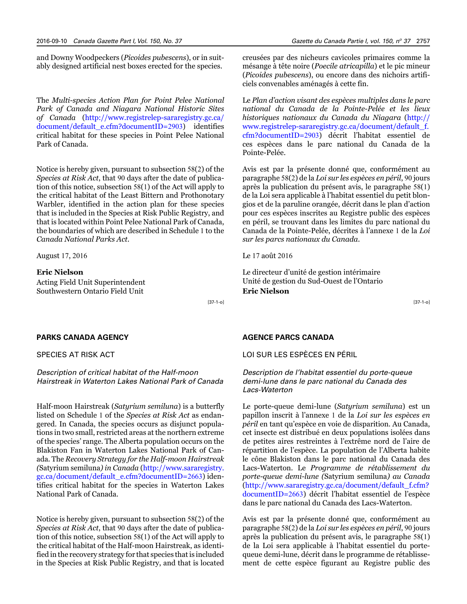and Downy Woodpeckers (*Picoides pubescens*), or in suitably designed artificial nest boxes erected for the species.

The *Multi-species Action Plan for Point Pelee National Park of Canada and Niagara National Historic Sites of Canada* ([http://www.registrelep-sararegistry.gc.ca/](https://www.registrelep-sararegistry.gc.ca/document/default_e.cfm?documentID=2903) [document/default\\_e.cfm?documentID=](https://www.registrelep-sararegistry.gc.ca/document/default_e.cfm?documentID=2903)2903) identifies critical habitat for these species in Point Pelee National Park of Canada.

Notice is hereby given, pursuant to subsection 58(2) of the *Species at Risk Act*, that 90 days after the date of publication of this notice, subsection 58(1) of the Act will apply to the critical habitat of the Least Bittern and Prothonotary Warbler, identified in the action plan for these species that is included in the Species at Risk Public Registry, and that is located within Point Pelee National Park of Canada, the boundaries of which are described in Schedule 1 to the *Canada National Parks Act*.

August 17, 2016

#### **Eric Nielson**

Acting Field Unit Superintendent Southwestern Ontario Field Unit

[37-1-o]

#### **PARKS CANADA AGENCY**

SPECIES AT RISK ACT

*Description of critical habitat of the Half-moon Hairstreak in Waterton Lakes National Park of Canada*

Half-moon Hairstreak (*Satyrium semiluna*) is a butterfly listed on Schedule 1 of the *Species at Risk Act* as endangered. In Canada, the species occurs as disjunct populations in two small, restricted areas at the northern extreme of the species' range. The Alberta population occurs on the Blakiston Fan in Waterton Lakes National Park of Canada. The *Recovery Strategy for the Half-moon Hairstreak (*Satyrium semiluna*) in Canada* (http://www[.sararegistry.](http://www.sararegistry.gc.ca/document/default_e.cfm?documentID=2663) [gc.ca/document/default\\_e.cfm?documentID=](http://www.sararegistry.gc.ca/document/default_e.cfm?documentID=2663)2663) iden[tifies c](http://www.sararegistry.gc.ca/document/default_e.cfm?documentID=2663)ritical habitat for the species in Waterton Lakes National Park of Canada.

Notice is hereby given, pursuant to subsection 58(2) of the *Species at Risk Act*, that 90 days after the date of publication of this notice, subsection 58(1) of the Act will apply to the critical habitat of the Half-moon Hairstreak, as identified in the recovery strategy for that species that is included in the Species at Risk Public Registry, and that is located creusées par des nicheurs cavicoles primaires comme la mésange à tête noire (*Poecile atricapilla*) et le pic mineur (*Picoides pubescens*), ou encore dans des nichoirs artificiels convenables aménagés à cette fin.

Le *Plan d'action visant des espèces multiples dans le parc national du Canada de la Pointe-Pelée et les lieux historiques nationaux du Canada du Niagara* ([http://](http://www.registrelep-sararegistry.gc.ca/document/default_f.cfm?documentID=2903) [www.registrelep-sararegistry.gc.ca/document/default\\_f.](http://www.registrelep-sararegistry.gc.ca/document/default_f.cfm?documentID=2903) [cfm?documentID=](http://www.registrelep-sararegistry.gc.ca/document/default_f.cfm?documentID=2903)2903) décrit l'habitat essentiel de ces espèces dans le parc national du Canada de la Pointe-Pelée.

Avis est par la présente donné que, conformément au paragraphe 58(2) de la *Loi sur les espèces en péril*, 90 jours après la publication du présent avis, le paragraphe 58(1) de la Loi sera applicable à l'habitat essentiel du petit blongios et de la paruline orangée, décrit dans le plan d'action pour ces espèces inscrites au Registre public des espèces en péril, se trouvant dans les limites du parc national du Canada de la Pointe-Pelée, décrites à l'annexe 1 de la *Loi sur les parcs nationaux du Canada*.

Le 17 août 2016

Le directeur d'unité de gestion intérimaire Unité de gestion du Sud-Ouest de l'Ontario **Eric Nielson**

[37-1-o]

#### **AGENCE PARCS CANADA**

LOI SUR LES ESPÈCES EN PÉRIL

*Description de l'habitat essentiel du porte-queue demi-lune dans le parc national du Canada des Lacs-Waterton*

Le porte-queue demi-lune (*Satyrium semiluna*) est un papillon inscrit à l'annexe 1 de la *Loi sur les espèces en péril* en tant qu'espèce en voie de disparition. Au Canada, cet insecte est distribué en deux populations isolées dans de petites aires restreintes à l'extrême nord de l'aire de répartition de l'espèce. La population de l'Alberta habite le cône Blakiston dans le parc national du Canada des Lacs-Waterton. Le *Programme de rétablissement du porte-queue demi-lune (*Satyrium semiluna*) au Canada* ([http://www.sararegistry.gc.ca/document/default\\_f.cfm?](http://www.sararegistry.gc.ca/document/default_f.cfm?documentID=2663) [documentID=](http://www.sararegistry.gc.ca/document/default_f.cfm?documentID=2663)2663) décrit l'habitat essentiel de l'espèce dans le parc national du Canada des Lacs-Waterton.

Avis est par la présente donné que, conformément au paragraphe 58(2) de la *Loi sur les espèces en péril*, 90 jours après la publication du présent avis, le paragraphe 58(1) de la Loi sera applicable à l'habitat essentiel du portequeue demi-lune, décrit dans le programme de rétablissement de cette espèce figurant au Registre public des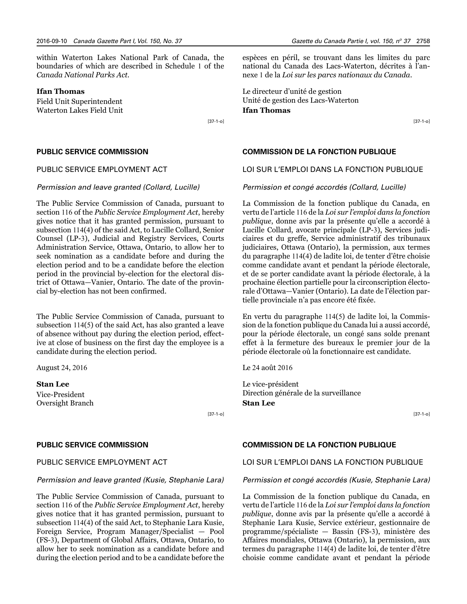within Waterton Lakes National Park of Canada, the boundaries of which are described in Schedule 1 of the *Canada National Parks Act.*

#### **Ifan Thomas**

Field Unit Superintendent Waterton Lakes Field Unit

[37-1-o]

#### **PUBLIC SERVICE COMMISSION**

#### PUBLIC SERVICE EMPLOYMENT ACT

#### *Permission and leave granted (Collard, Lucille)*

The Public Service Commission of Canada, pursuant to section 116 of the *Public Service Employment Act*, hereby gives notice that it has granted permission, pursuant to subsection 114(4) of the said Act, to Lucille Collard, Senior Counsel (LP-3), Judicial and Registry Services, Courts Administration Service, Ottawa, Ontario, to allow her to seek nomination as a candidate before and during the election period and to be a candidate before the election period in the provincial by-election for the electoral district of Ottawa—Vanier, Ontario. The date of the provincial by-election has not been confirmed.

The Public Service Commission of Canada, pursuant to subsection 114(5) of the said Act, has also granted a leave of absence without pay during the election period, effective at close of business on the first day the employee is a candidate during the election period.

August 24, 2016

**Stan Lee** Vice-President

Oversight Branch

[37-1-o]

#### **PUBLIC SERVICE COMMISSION**

#### PUBLIC SERVICE EMPLOYMENT ACT

#### *Permission and leave granted (Kusie, Stephanie Lara)*

The Public Service Commission of Canada, pursuant to section 116 of the *Public Service Employment Act*, hereby gives notice that it has granted permission, pursuant to subsection 114(4) of the said Act, to Stephanie Lara Kusie, Foreign Service, Program Manager/Specialist — Pool (FS-3), Department of Global Affairs, Ottawa, Ontario, to allow her to seek nomination as a candidate before and during the election period and to be a candidate before the

espèces en péril, se trouvant dans les limites du parc national du Canada des Lacs-Waterton, décrites à l'annexe 1 de la *Loi sur les parcs nationaux du Canada*.

Le directeur d'unité de gestion Unité de gestion des Lacs-Waterton **Ifan Thomas**

[37-1-o]

#### **COMMISSION DE LA FONCTION PUBLIQUE**

#### LOI SUR L'EMPLOI DANS LA FONCTION PUBLIQUE

#### *Permission et congé accordés (Collard, Lucille)*

La Commission de la fonction publique du Canada, en vertu de l'article 116 de la *Loi sur l'emploi dans la fonction publique*, donne avis par la présente qu'elle a accordé à Lucille Collard, avocate principale (LP-3), Services judiciaires et du greffe, Service administratif des tribunaux judiciaires, Ottawa (Ontario), la permission, aux termes du paragraphe 114(4) de ladite loi, de tenter d'être choisie comme candidate avant et pendant la période électorale, et de se porter candidate avant la période électorale, à la prochaine élection partielle pour la circonscription électorale d'Ottawa—Vanier (Ontario). La date de l'élection partielle provinciale n'a pas encore été fixée.

En vertu du paragraphe 114(5) de ladite loi, la Commission de la fonction publique du Canada lui a aussi accordé, pour la période électorale, un congé sans solde prenant effet à la fermeture des bureaux le premier jour de la période électorale où la fonctionnaire est candidate.

Le 24 août 2016

Le vice-président Direction générale de la surveillance **Stan Lee**

[37-1-o]

#### **COMMISSION DE LA FONCTION PUBLIQUE**

#### LOI SUR L'EMPLOI DANS LA FONCTION PUBLIQUE

#### *Permission et congé accordés (Kusie, Stephanie Lara)*

La Commission de la fonction publique du Canada, en vertu de l'article 116 de la *Loi sur l'emploi dans la fonction publique*, donne avis par la présente qu'elle a accordé à Stephanie Lara Kusie, Service extérieur, gestionnaire de programme/spécialiste — Bassin (FS-3), ministère des Affaires mondiales, Ottawa (Ontario), la permission, aux termes du paragraphe 114(4) de ladite loi, de tenter d'être choisie comme candidate avant et pendant la période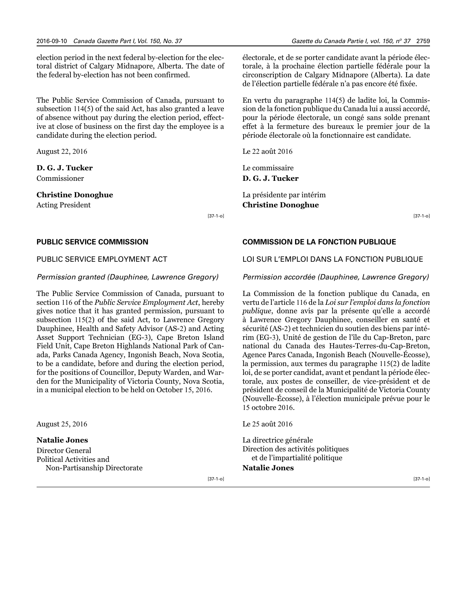election period in the next federal by-election for the electoral district of Calgary Midnapore, Alberta. The date of the federal by-election has not been confirmed.

The Public Service Commission of Canada, pursuant to subsection 114(5) of the said Act, has also granted a leave of absence without pay during the election period, effective at close of business on the first day the employee is a candidate during the election period.

August 22, 2016

#### **D. G. J. Tucker** Commissioner

#### **Christine Donoghue**

Acting President

[37-1-o]

#### **PUBLIC SERVICE COMMISSION**

#### PUBLIC SERVICE EMPLOYMENT ACT

#### *Permission granted (Dauphinee, Lawrence Gregory)*

The Public Service Commission of Canada, pursuant to section 116 of the *Public Service Employment Act*, hereby gives notice that it has granted permission, pursuant to subsection 115(2) of the said Act, to Lawrence Gregory Dauphinee, Health and Safety Advisor (AS-2) and Acting Asset Support Technician (EG-3), Cape Breton Island Field Unit, Cape Breton Highlands National Park of Canada, Parks Canada Agency, Ingonish Beach, Nova Scotia, to be a candidate, before and during the election period, for the positions of Councillor, Deputy Warden, and Warden for the Municipality of Victoria County, Nova Scotia, in a municipal election to be held on October 15, 2016.

August 25, 2016

**Natalie Jones** Director General Political Activities and Non-Partisanship Directorate électorale, et de se porter candidate avant la période électorale, à la prochaine élection partielle fédérale pour la circonscription de Calgary Midnapore (Alberta). La date de l'élection partielle fédérale n'a pas encore été fixée.

En vertu du paragraphe 114(5) de ladite loi, la Commission de la fonction publique du Canada lui a aussi accordé, pour la période électorale, un congé sans solde prenant effet à la fermeture des bureaux le premier jour de la période électorale où la fonctionnaire est candidate.

Le 22 août 2016

Le commissaire **D. G. J. Tucker** 

La présidente par intérim **Christine Donoghue**

[37-1-o]

#### **COMMISSION DE LA FONCTION PUBLIQUE**

#### LOI SUR L'EMPLOI DANS LA FONCTION PUBLIQUE

#### *Permission accordée (Dauphinee, Lawrence Gregory)*

La Commission de la fonction publique du Canada, en vertu de l'article 116 de la *Loi sur l'emploi dans la fonction publique*, donne avis par la présente qu'elle a accordé à Lawrence Gregory Dauphinee, conseiller en santé et sécurité (AS-2) et technicien du soutien des biens par intérim (EG-3), Unité de gestion de l'île du Cap-Breton, parc national du Canada des Hautes-Terres-du-Cap-Breton, Agence Parcs Canada, Ingonish Beach (Nouvelle-Écosse), la permission, aux termes du paragraphe 115(2) de ladite loi, de se porter candidat, avant et pendant la période électorale, aux postes de conseiller, de vice-président et de président de conseil de la Municipalité de Victoria County (Nouvelle-Écosse), à l'élection municipale prévue pour le 15 octobre 2016.

Le 25 août 2016

La directrice générale Direction des activités politiques et de l'impartialité politique

#### **Natalie Jones**

[37-1-o]

[37-1-o]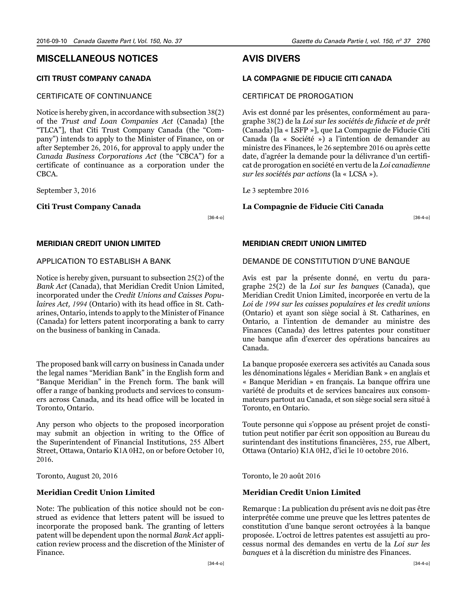#### <span id="page-23-0"></span>**MISCELLANEOUS NOTICES**

#### **CITI TRUST COMPANY CANADA**

#### CERTIFICATE OF CONTINUANCE

Notice is hereby given, in accordance with subsection 38(2) of the *Trust and Loan Companies Act* (Canada) [the "TLCA"], that Citi Trust Company Canada (the "Company") intends to apply to the Minister of Finance, on or after September 26, 2016, for approval to apply under the *Canada Business Corporations Act* (the "CBCA") for a certificate of continuance as a corporation under the CBCA.

September 3, 2016

#### **Citi Trust Company Canada**

[36-4-o]

#### **MERIDIAN CREDIT UNION LIMITED**

#### APPLICATION TO ESTABLISH A BANK

Notice is hereby given, pursuant to subsection 25(2) of the *Bank Act* (Canada), that Meridian Credit Union Limited, incorporated under the *Credit Unions and Caisses Populaires Act, 1994* (Ontario) with its head office in St. Catharines, Ontario, intends to apply to the Minister of Finance (Canada) for letters patent incorporating a bank to carry on the business of banking in Canada.

The proposed bank will carry on business in Canada under the legal names "Meridian Bank" in the English form and "Banque Meridian" in the French form. The bank will offer a range of banking products and services to consumers across Canada, and its head office will be located in Toronto, Ontario.

Any person who objects to the proposed incorporation may submit an objection in writing to the Office of the Superintendent of Financial Institutions, 255 Albert Street, Ottawa, Ontario K1A 0H2, on or before October 10, 2016.

Toronto, August 20, 2016

#### **Meridian Credit Union Limited**

Note: The publication of this notice should not be construed as evidence that letters patent will be issued to incorporate the proposed bank. The granting of letters patent will be dependent upon the normal *Bank Act* application review process and the discretion of the Minister of Finance.

## **AVIS DIVERS**

#### **LA COMPAGNIE DE FIDUCIE CITI CANADA**

#### CERTIFICAT DE PROROGATION

Avis est donné par les présentes, conformément au paragraphe 38(2) de la *Loi sur les sociétés de fiducie et de prêt*  (Canada) [la « LSFP »], que La Compagnie de Fiducie Citi Canada (la « Société ») a l'intention de demander au ministre des Finances, le 26 septembre 2016 ou après cette date, d'agréer la demande pour la délivrance d'un certificat de prorogation en société en vertu de la *Loi canadienne sur les sociétés par actions* (la « LCSA »).

Le 3 septembre 2016

#### **La Compagnie de Fiducie Citi Canada**

[36-4-o]

#### **MERIDIAN CREDIT UNION LIMITED**

#### DEMANDE DE CONSTITUTION D'UNE BANQUE

Avis est par la présente donné, en vertu du paragraphe 25(2) de la *Loi sur les banques* (Canada), que Meridian Credit Union Limited, incorporée en vertu de la *Loi de 1994 sur les caisses populaires et les credit unions* (Ontario) et ayant son siège social à St. Catharines, en Ontario, a l'intention de demander au ministre des Finances (Canada) des lettres patentes pour constituer une banque afin d'exercer des opérations bancaires au Canada.

La banque proposée exercera ses activités au Canada sous les dénominations légales « Meridian Bank » en anglais et « Banque Meridian » en français. La banque offrira une variété de produits et de services bancaires aux consommateurs partout au Canada, et son siège social sera situé à Toronto, en Ontario.

Toute personne qui s'oppose au présent projet de constitution peut notifier par écrit son opposition au Bureau du surintendant des institutions financières, 255, rue Albert, Ottawa (Ontario) K1A 0H2, d'ici le 10 octobre 2016.

Toronto, le 20 août 2016

#### **Meridian Credit Union Limited**

Remarque : La publication du présent avis ne doit pas être interprétée comme une preuve que les lettres patentes de constitution d'une banque seront octroyées à la banque proposée. L'octroi de lettres patentes est assujetti au processus normal des demandes en vertu de la *Loi sur les banques* et à la discrétion du ministre des Finances.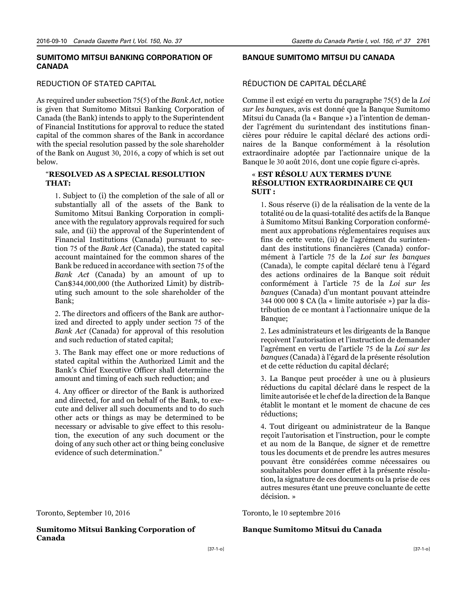#### **SUMITOMO MITSUI BANKING CORPORATION OF CANADA**

#### REDUCTION OF STATED CAPITAL

As required under subsection 75(5) of the *Bank Act*, notice is given that Sumitomo Mitsui Banking Corporation of Canada (the Bank) intends to apply to the Superintendent of Financial Institutions for approval to reduce the stated capital of the common shares of the Bank in accordance with the special resolution passed by the sole shareholder of the Bank on August 30, 2016, a copy of which is set out below.

#### "**RESOLVED AS A SPECIAL RESOLUTION THAT:**

1. Subject to (i) the completion of the sale of all or substantially all of the assets of the Bank to Sumitomo Mitsui Banking Corporation in compliance with the regulatory approvals required for such sale, and (ii) the approval of the Superintendent of Financial Institutions (Canada) pursuant to section 75 of the *Bank Act* (Canada), the stated capital account maintained for the common shares of the Bank be reduced in accordance with section 75 of the *Bank Act* (Canada) by an amount of up to Can\$344,000,000 (the Authorized Limit) by distributing such amount to the sole shareholder of the Bank;

2. The directors and officers of the Bank are authorized and directed to apply under section 75 of the *Bank Act* (Canada) for approval of this resolution and such reduction of stated capital;

3. The Bank may effect one or more reductions of stated capital within the Authorized Limit and the Bank's Chief Executive Officer shall determine the amount and timing of each such reduction; and

4. Any officer or director of the Bank is authorized and directed, for and on behalf of the Bank, to execute and deliver all such documents and to do such other acts or things as may be determined to be necessary or advisable to give effect to this resolution, the execution of any such document or the doing of any such other act or thing being conclusive evidence of such determination."

Toronto, September 10, 2016

**Sumitomo Mitsui Banking Corporation of Canada**

## **BANQUE SUMITOMO MITSUI DU CANADA**

#### RÉDUCTION DE CAPITAL DÉCLARÉ

Comme il est exigé en vertu du paragraphe 75(5) de la *Loi sur les banques*, avis est donné que la Banque Sumitomo Mitsui du Canada (la « Banque ») a l'intention de demander l'agrément du surintendant des institutions financières pour réduire le capital déclaré des actions ordinaires de la Banque conformément à la résolution extraordinaire adoptée par l'actionnaire unique de la Banque le 30 août 2016, dont une copie figure ci-après.

#### « **EST RÉSOLU AUX TERMES D'UNE RÉSOLUTION EXTRAORDINAIRE CE QUI SUIT :**

1. Sous réserve (i) de la réalisation de la vente de la totalité ou de la quasi-totalité des actifs de la Banque à Sumitomo Mitsui Banking Corporation conformément aux approbations réglementaires requises aux fins de cette vente, (ii) de l'agrément du surintendant des institutions financières (Canada) conformément à l'article 75 de la *Loi sur les banques* (Canada), le compte capital déclaré tenu à l'égard des actions ordinaires de la Banque soit réduit conformément à l'article 75 de la *Loi sur les banques* (Canada) d'un montant pouvant atteindre 344 000 000 \$ CA (la « limite autorisée ») par la distribution de ce montant à l'actionnaire unique de la Banque;

2. Les administrateurs et les dirigeants de la Banque reçoivent l'autorisation et l'instruction de demander l'agrément en vertu de l'article 75 de la *Loi sur les banques* (Canada) à l'égard de la présente résolution et de cette réduction du capital déclaré;

3. La Banque peut procéder à une ou à plusieurs réductions du capital déclaré dans le respect de la limite autorisée et le chef de la direction de la Banque établit le montant et le moment de chacune de ces réductions;

4. Tout dirigeant ou administrateur de la Banque reçoit l'autorisation et l'instruction, pour le compte et au nom de la Banque, de signer et de remettre tous les documents et de prendre les autres mesures pouvant être considérées comme nécessaires ou souhaitables pour donner effet à la présente résolution, la signature de ces documents ou la prise de ces autres mesures étant une preuve concluante de cette décision. »

Toronto, le 10 septembre 2016

#### **Banque Sumitomo Mitsui du Canada**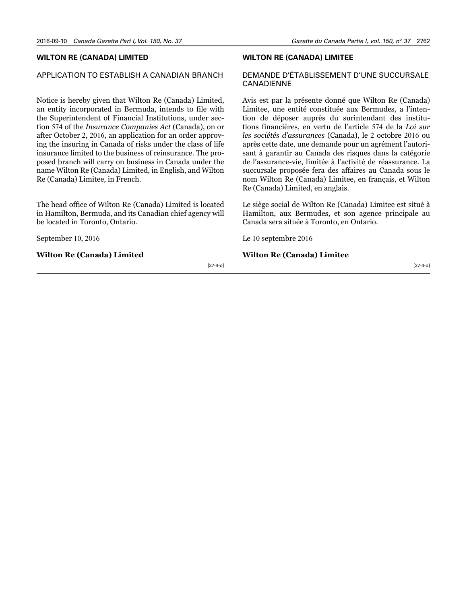#### **WILTON RE (CANADA) LIMITED**

## APPLICATION TO ESTABLISH A CANADIAN BRANCH

Notice is hereby given that Wilton Re (Canada) Limited, an entity incorporated in Bermuda, intends to file with the Superintendent of Financial Institutions, under section 574 of the *Insurance Companies Act* (Canada), on or after October 2, 2016, an application for an order approving the insuring in Canada of risks under the class of life insurance limited to the business of reinsurance. The proposed branch will carry on business in Canada under the name Wilton Re (Canada) Limited, in English, and Wilton Re (Canada) Limitee, in French.

The head office of Wilton Re (Canada) Limited is located in Hamilton, Bermuda, and its Canadian chief agency will be located in Toronto, Ontario.

September 10, 2016

#### **Wilton Re (Canada) Limited**

#### **WILTON RE (CANADA) LIMITEE**

#### DEMANDE D'ÉTABLISSEMENT D'UNE SUCCURSALE CANADIENNE

Avis est par la présente donné que Wilton Re (Canada) Limitee, une entité constituée aux Bermudes, a l'intention de déposer auprès du surintendant des institutions financières, en vertu de l'article 574 de la *Loi sur les sociétés d'assurances* (Canada), le 2 octobre 2016 ou après cette date, une demande pour un agrément l'autorisant à garantir au Canada des risques dans la catégorie de l'assurance-vie, limitée à l'activité de réassurance. La succursale proposée fera des affaires au Canada sous le nom Wilton Re (Canada) Limitee, en français, et Wilton Re (Canada) Limited, en anglais.

Le siège social de Wilton Re (Canada) Limitee est situé à Hamilton, aux Bermudes, et son agence principale au Canada sera située à Toronto, en Ontario.

Le 10 septembre 2016

#### **Wilton Re (Canada) Limitee**

[37-4-o]

[37-4-o]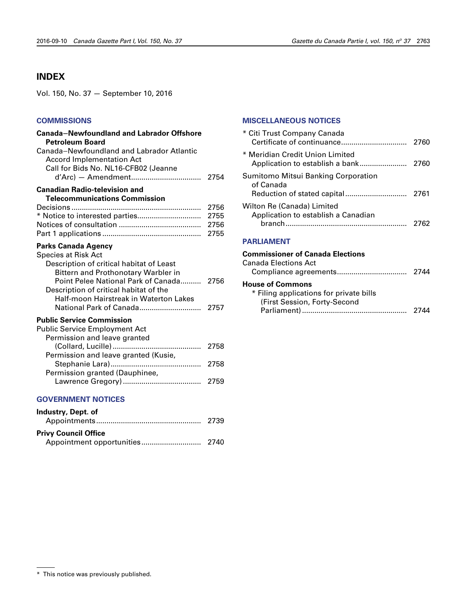## <span id="page-26-0"></span>**INDEX**

Vol. 150, No. 37 — September 10, 2016

#### **[COMMISSIONS](#page-17-0)**

| <b>Canada-Newfoundland and Labrador Offshore</b><br><b>Petroleum Board</b>                                                                                                                                                                                             |                              |
|------------------------------------------------------------------------------------------------------------------------------------------------------------------------------------------------------------------------------------------------------------------------|------------------------------|
| Canada-Newfoundland and Labrador Atlantic<br><b>Accord Implementation Act</b><br>Call for Bids No. NL16-CFB02 (Jeanne                                                                                                                                                  |                              |
| <b>Canadian Radio-television and</b><br><b>Telecommunications Commission</b>                                                                                                                                                                                           |                              |
| * Notice to interested parties                                                                                                                                                                                                                                         | 2756<br>2755<br>2756<br>2755 |
| <b>Parks Canada Agency</b><br>Species at Risk Act<br>Description of critical habitat of Least<br><b>Bittern and Prothonotary Warbler in</b><br>Point Pelee National Park of Canada<br>Description of critical habitat of the<br>Half-moon Hairstreak in Waterton Lakes | 2756                         |
| National Park of Canada<br><b>Public Service Commission</b><br><b>Public Service Employment Act</b><br>Permission and leave granted                                                                                                                                    | 2757                         |
| (Collard, Lucille)<br>.<br>Permission and leave granted (Kusie,                                                                                                                                                                                                        | 2758                         |
| Permission granted (Dauphinee,                                                                                                                                                                                                                                         | 2758                         |
|                                                                                                                                                                                                                                                                        | 2759                         |

#### **[GOVERNMENT NOTICES](#page-2-0)**

| Industry, Dept. of          |  |
|-----------------------------|--|
| <b>Privy Council Office</b> |  |

#### **[MISCELLANEOUS NOTICES](#page-23-0)**

| <b>Commissioner of Canada Elections</b>                                         |      |
|---------------------------------------------------------------------------------|------|
| <b>PARLIAMENT</b>                                                               |      |
| Wilton Re (Canada) Limited<br>Application to establish a Canadian               | 2762 |
| Sumitomo Mitsui Banking Corporation<br>of Canada<br>Reduction of stated capital | 2761 |
| * Meridian Credit Union Limited                                                 | 2760 |
| * Citi Trust Company Canada                                                     | 2760 |

## Canada Elections Act Compliance agreements.................................. 2744 **House of Commons** \* Filing applications for private bills (First Session, Forty-Second Parliament)................................................... 2744

<sup>\*</sup> This notice was previously published.